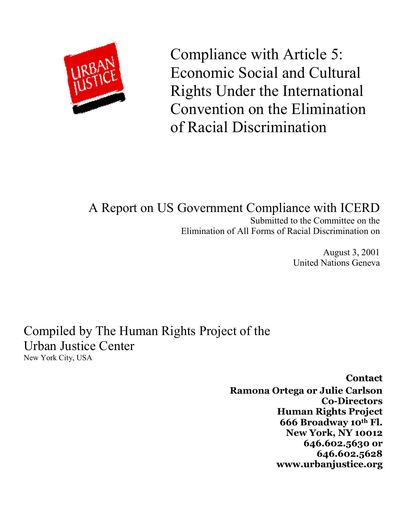

Compliance with Article 5: Economic Social and Cultural Rights Under the International Convention on the Elimination of Racial Discrimination

### A Report on US Government Compliance with ICERD Submitted to the Committee on the Elimination of All Forms of Racial Discrimination on

August 3, 2001 United Nations Geneva

Compiled by The Human Rights Project of the Urban Justice Center New York City, USA

> **Contact Ramona Ortega or Julie Carlson Co-Directors Human Rights Project 666 Broadway 10th Fl. New York, NY 10012 646.602.5630 or 646.602.5628 www.urbanjustice.org**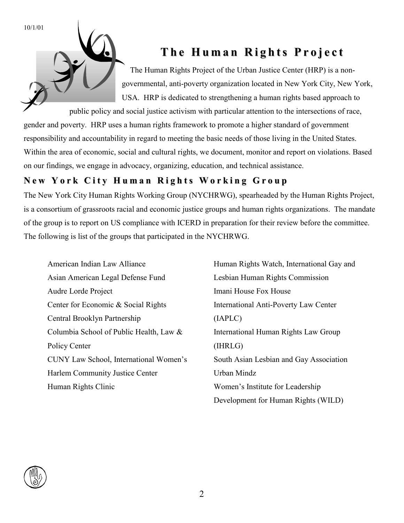10/1/01

### **Th e H u ma n R i g h ts P r o j e c t**

The Human Rights Project of the Urban Justice Center (HRP) is a nongovernmental, anti-poverty organization located in New York City, New York, USA. HRP is dedicated to strengthening a human rights based approach to

public policy and social justice activism with particular attention to the intersections of race, gender and poverty. HRP uses a human rights framework to promote a higher standard of government responsibility and accountability in regard to meeting the basic needs of those living in the United States. Within the area of economic, social and cultural rights, we document, monitor and report on violations. Based on our findings, we engage in advocacy, organizing, education, and technical assistance.

### New York City Human Rights Working Group

The New York City Human Rights Working Group (NYCHRWG), spearheaded by the Human Rights Project, is a consortium of grassroots racial and economic justice groups and human rights organizations. The mandate of the group is to report on US compliance with ICERD in preparation for their review before the committee. The following is list of the groups that participated in the NYCHRWG.

American Indian Law Alliance Asian American Legal Defense Fund Audre Lorde Project Center for Economic & Social Rights Central Brooklyn Partnership Columbia School of Public Health, Law & Policy Center CUNY Law School, International Women's Harlem Community Justice Center Human Rights Clinic

Human Rights Watch, International Gay and Lesbian Human Rights Commission Imani House Fox House International Anti-Poverty Law Center (IAPLC) International Human Rights Law Group (IHRLG) South Asian Lesbian and Gay Association Urban Mindz Women's Institute for Leadership Development for Human Rights (WILD)

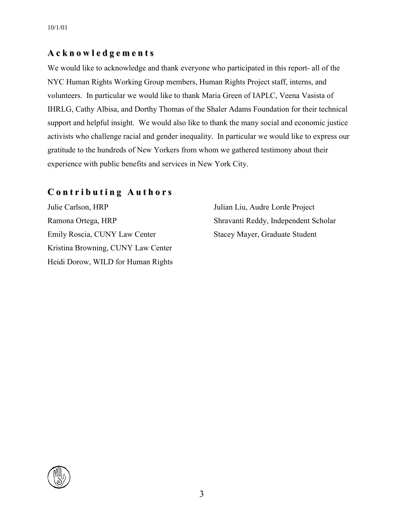### **A c k n o w l e d g e m e n t s**

We would like to acknowledge and thank everyone who participated in this report- all of the NYC Human Rights Working Group members, Human Rights Project staff, interns, and volunteers. In particular we would like to thank Maria Green of IAPLC, Veena Vasista of IHRLG, Cathy Albisa, and Dorthy Thomas of the Shaler Adams Foundation for their technical support and helpful insight. We would also like to thank the many social and economic justice activists who challenge racial and gender inequality. In particular we would like to express our gratitude to the hundreds of New Yorkers from whom we gathered testimony about their experience with public benefits and services in New York City.

### **C o n t r i b u t i n g A u t h o r s**

Julie Carlson, HRP Ramona Ortega, HRP Emily Roscia, CUNY Law Center Kristina Browning, CUNY Law Center Heidi Dorow, WILD for Human Rights Julian Liu, Audre Lorde Project Shravanti Reddy, Independent Scholar Stacey Mayer, Graduate Student

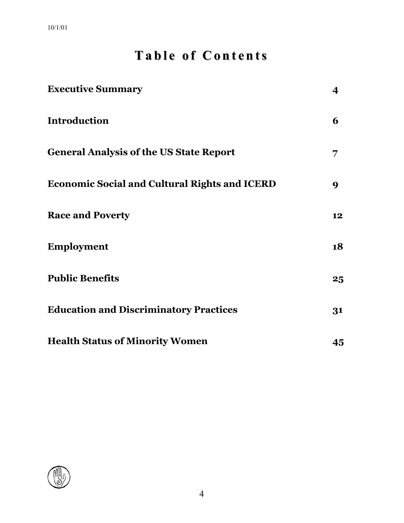# **Ta b l e o f C o n t e n ts**

| <b>Executive Summary</b>                             | 4  |
|------------------------------------------------------|----|
| <b>Introduction</b>                                  | 6  |
| <b>General Analysis of the US State Report</b>       | 7  |
| <b>Economic Social and Cultural Rights and ICERD</b> | 9  |
| <b>Race and Poverty</b>                              | 12 |
| <b>Employment</b>                                    | 18 |
| <b>Public Benefits</b>                               | 25 |
| <b>Education and Discriminatory Practices</b>        | 31 |
| <b>Health Status of Minority Women</b>               | 45 |

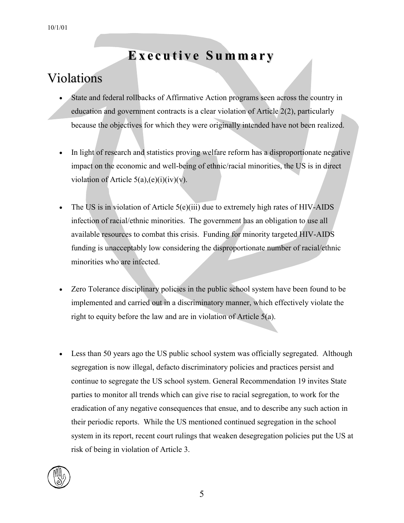# **Ex e c u ti v e S u m m a r y**

### Violations

- - State and federal rollbacks of Affirmative Action programs seen across the country in education and government contracts is a clear violation of Article 2(2), particularly because the objectives for which they were originally intended have not been realized.
- - In light of research and statistics proving welfare reform has a disproportionate negative impact on the economic and well-being of ethnic/racial minorities, the US is in direct violation of Article  $5(a)$ ,(e)(i)(iv)(v).
- - The US is in violation of Article 5(e)(iii) due to extremely high rates of HIV-AIDS infection of racial/ethnic minorities. The government has an obligation to use all available resources to combat this crisis. Funding for minority targeted HIV-AIDS funding is unacceptably low considering the disproportionate number of racial/ethnic minorities who are infected.
- $\bullet$  Zero Tolerance disciplinary policies in the public school system have been found to be implemented and carried out in a discriminatory manner, which effectively violate the right to equity before the law and are in violation of Article 5(a).
- - Less than 50 years ago the US public school system was officially segregated. Although segregation is now illegal, defacto discriminatory policies and practices persist and continue to segregate the US school system. General Recommendation 19 invites State parties to monitor all trends which can give rise to racial segregation, to work for the eradication of any negative consequences that ensue, and to describe any such action in their periodic reports. While the US mentioned continued segregation in the school system in its report, recent court rulings that weaken desegregation policies put the US at risk of being in violation of Article 3.

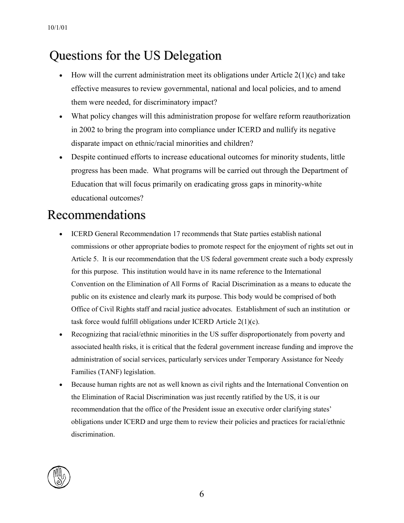# Questions for the US Delegation

- -How will the current administration meet its obligations under Article  $2(1)(c)$  and take effective measures to review governmental, national and local policies, and to amend them were needed, for discriminatory impact?
- $\bullet$  What policy changes will this administration propose for welfare reform reauthorization in 2002 to bring the program into compliance under ICERD and nullify its negative disparate impact on ethnic/racial minorities and children?
- Despite continued efforts to increase educational outcomes for minority students, little progress has been made. What programs will be carried out through the Department of Education that will focus primarily on eradicating gross gaps in minority-white educational outcomes?

# Recommendations

- - ICERD General Recommendation 17 recommends that State parties establish national commissions or other appropriate bodies to promote respect for the enjoyment of rights set out in Article 5. It is our recommendation that the US federal government create such a body expressly for this purpose. This institution would have in its name reference to the International Convention on the Elimination of All Forms of Racial Discrimination as a means to educate the public on its existence and clearly mark its purpose. This body would be comprised of both Office of Civil Rights staff and racial justice advocates. Establishment of such an institution or task force would fulfill obligations under ICERD Article 2(1)(c).
- $\bullet$  Recognizing that racial/ethnic minorities in the US suffer disproportionately from poverty and associated health risks, it is critical that the federal government increase funding and improve the administration of social services, particularly services under Temporary Assistance for Needy Families (TANF) legislation.
- $\bullet$  Because human rights are not as well known as civil rights and the International Convention on the Elimination of Racial Discrimination was just recently ratified by the US, it is our recommendation that the office of the President issue an executive order clarifying states' obligations under ICERD and urge them to review their policies and practices for racial/ethnic discrimination.

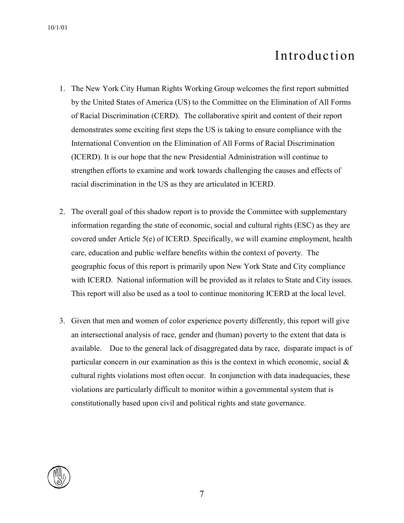# Introduction

- 1. The New York City Human Rights Working Group welcomes the first report submitted by the United States of America (US) to the Committee on the Elimination of All Forms of Racial Discrimination (CERD). The collaborative spirit and content of their report demonstrates some exciting first steps the US is taking to ensure compliance with the International Convention on the Elimination of All Forms of Racial Discrimination (ICERD). It is our hope that the new Presidential Administration will continue to strengthen efforts to examine and work towards challenging the causes and effects of racial discrimination in the US as they are articulated in ICERD.
- 2. The overall goal of this shadow report is to provide the Committee with supplementary information regarding the state of economic, social and cultural rights (ESC) as they are covered under Article 5(e) of ICERD. Specifically, we will examine employment, health care, education and public welfare benefits within the context of poverty. The geographic focus of this report is primarily upon New York State and City compliance with ICERD. National information will be provided as it relates to State and City issues. This report will also be used as a tool to continue monitoring ICERD at the local level.
- 3. Given that men and women of color experience poverty differently, this report will give an intersectional analysis of race, gender and (human) poverty to the extent that data is available. Due to the general lack of disaggregated data by race, disparate impact is of particular concern in our examination as this is the context in which economic, social & cultural rights violations most often occur. In conjunction with data inadequacies, these violations are particularly difficult to monitor within a governmental system that is constitutionally based upon civil and political rights and state governance.

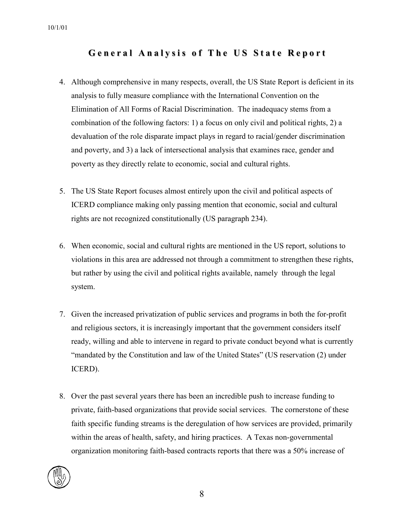### General Analysis of The US State Report

- 4. Although comprehensive in many respects, overall, the US State Report is deficient in its analysis to fully measure compliance with the International Convention on the Elimination of All Forms of Racial Discrimination. The inadequacy stems from a combination of the following factors: 1) a focus on only civil and political rights, 2) a devaluation of the role disparate impact plays in regard to racial/gender discrimination and poverty, and 3) a lack of intersectional analysis that examines race, gender and poverty as they directly relate to economic, social and cultural rights.
- 5. The US State Report focuses almost entirely upon the civil and political aspects of ICERD compliance making only passing mention that economic, social and cultural rights are not recognized constitutionally (US paragraph 234).
- 6. When economic, social and cultural rights are mentioned in the US report, solutions to violations in this area are addressed not through a commitment to strengthen these rights, but rather by using the civil and political rights available, namely through the legal system.
- 7. Given the increased privatization of public services and programs in both the for-profit and religious sectors, it is increasingly important that the government considers itself ready, willing and able to intervene in regard to private conduct beyond what is currently "mandated by the Constitution and law of the United States" (US reservation (2) under ICERD).
- 8. Over the past several years there has been an incredible push to increase funding to private, faith-based organizations that provide social services. The cornerstone of these faith specific funding streams is the deregulation of how services are provided, primarily within the areas of health, safety, and hiring practices. A Texas non-governmental organization monitoring faith-based contracts reports that there was a 50% increase of

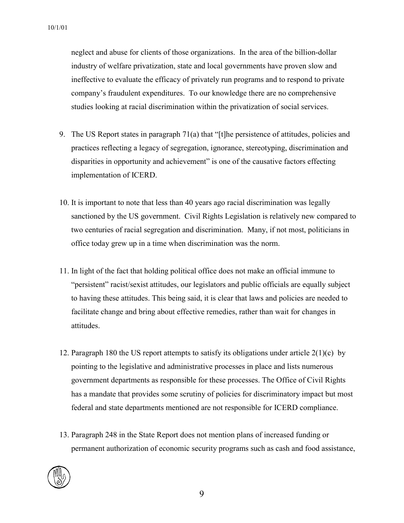neglect and abuse for clients of those organizations. In the area of the billion-dollar industry of welfare privatization, state and local governments have proven slow and ineffective to evaluate the efficacy of privately run programs and to respond to private company's fraudulent expenditures. To our knowledge there are no comprehensive studies looking at racial discrimination within the privatization of social services.

- 9. The US Report states in paragraph 71(a) that "[t]he persistence of attitudes, policies and practices reflecting a legacy of segregation, ignorance, stereotyping, discrimination and disparities in opportunity and achievement" is one of the causative factors effecting implementation of ICERD.
- 10. It is important to note that less than 40 years ago racial discrimination was legally sanctioned by the US government. Civil Rights Legislation is relatively new compared to two centuries of racial segregation and discrimination. Many, if not most, politicians in office today grew up in a time when discrimination was the norm.
- 11. In light of the fact that holding political office does not make an official immune to "persistent" racist/sexist attitudes, our legislators and public officials are equally subject to having these attitudes. This being said, it is clear that laws and policies are needed to facilitate change and bring about effective remedies, rather than wait for changes in attitudes.
- 12. Paragraph 180 the US report attempts to satisfy its obligations under article 2(1)(c) by pointing to the legislative and administrative processes in place and lists numerous government departments as responsible for these processes. The Office of Civil Rights has a mandate that provides some scrutiny of policies for discriminatory impact but most federal and state departments mentioned are not responsible for ICERD compliance.
- 13. Paragraph 248 in the State Report does not mention plans of increased funding or permanent authorization of economic security programs such as cash and food assistance,

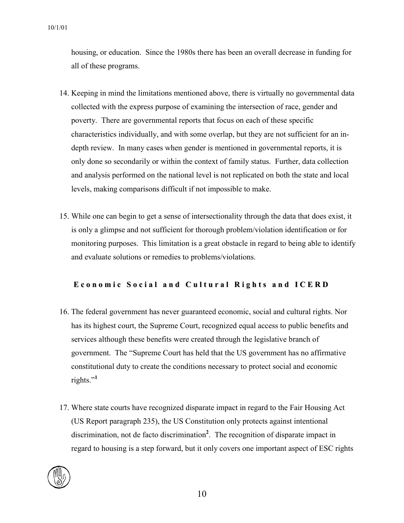housing, or education. Since the 1980s there has been an overall decrease in funding for all of these programs.

- 14. Keeping in mind the limitations mentioned above, there is virtually no governmental data collected with the express purpose of examining the intersection of race, gender and poverty. There are governmental reports that focus on each of these specific characteristics individually, and with some overlap, but they are not sufficient for an indepth review. In many cases when gender is mentioned in governmental reports, it is only done so secondarily or within the context of family status. Further, data collection and analysis performed on the national level is not replicated on both the state and local levels, making comparisons difficult if not impossible to make.
- 15. While one can begin to get a sense of intersectionality through the data that does exist, it is only a glimpse and not sufficient for thorough problem/violation identification or for monitoring purposes. This limitation is a great obstacle in regard to being able to identify and evaluate solutions or remedies to problems/violations.

#### Economic Social and Cultural Rights and ICERD

- 16. The federal government has never guaranteed economic, social and cultural rights. Nor has its highest court, the Supreme Court, recognized equal access to public benefits and services although these benefits were created through the legislative branch of government. The "Supreme Court has held that the US government has no affirmative constitutional duty to create the conditions necessary to protect social and economic rights."**[1](#page-57-0)**
- 17. Where state courts have recognized disparate impact in regard to the Fair Housing Act (US Report paragraph 235), the US Constitution only protects against intentional discrimination, not de facto discrimination**[2](#page-57-1)** . The recognition of disparate impact in regard to housing is a step forward, but it only covers one important aspect of ESC rights

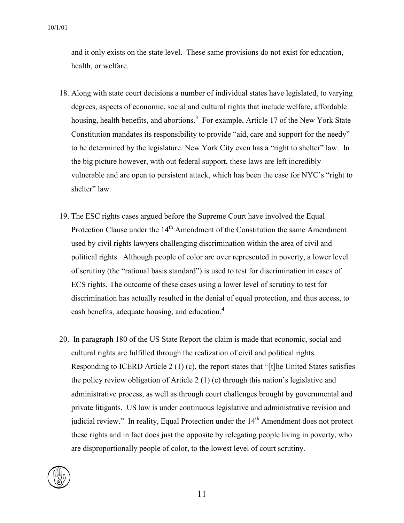and it only exists on the state level. These same provisions do not exist for education, health, or welfare.

- 18. Along with state court decisions a number of individual states have legislated, to varying degrees, aspects of economic, social and cultural rights that include welfare, affordable housing, health benefits, and abortions.<sup>[3](#page-57-2)</sup> For example, Article 17 of the New York State Constitution mandates its responsibility to provide "aid, care and support for the needy" to be determined by the legislature. New York City even has a "right to shelter" law. In the big picture however, with out federal support, these laws are left incredibly vulnerable and are open to persistent attack, which has been the case for NYC's "right to shelter" law.
- 19. The ESC rights cases argued before the Supreme Court have involved the Equal Protection Clause under the  $14<sup>th</sup>$  Amendment of the Constitution the same Amendment used by civil rights lawyers challenging discrimination within the area of civil and political rights. Although people of color are over represented in poverty, a lower level of scrutiny (the "rational basis standard") is used to test for discrimination in cases of ECS rights. The outcome of these cases using a lower level of scrutiny to test for discrimination has actually resulted in the denial of equal protection, and thus access, to cash benefits, adequate housing, and education.**[4](#page-57-3)**
- 20. In paragraph 180 of the US State Report the claim is made that economic, social and cultural rights are fulfilled through the realization of civil and political rights. Responding to ICERD Article 2 (1) (c), the report states that "[t]he United States satisfies the policy review obligation of Article 2  $(1)$  (c) through this nation's legislative and administrative process, as well as through court challenges brought by governmental and private litigants. US law is under continuous legislative and administrative revision and judicial review." In reality, Equal Protection under the  $14<sup>th</sup>$  Amendment does not protect these rights and in fact does just the opposite by relegating people living in poverty, who are disproportionally people of color, to the lowest level of court scrutiny.

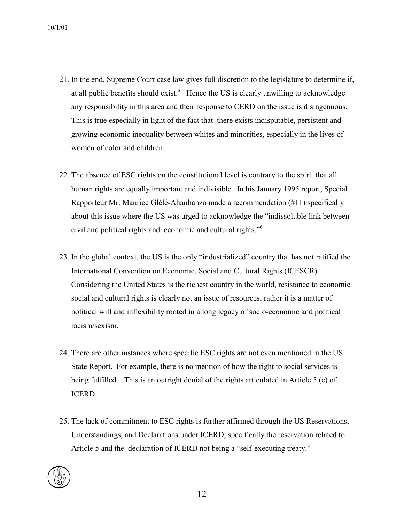- 21. In the end, Supreme Court case law gives full discretion to the legislature to determine if, at all public benefits should exist.**[5](#page-57-4)** Hence the US is clearly unwilling to acknowledge any responsibility in this area and their response to CERD on the issue is disingenuous. This is true especially in light of the fact that there exists indisputable, persistent and growing economic inequality between whites and minorities, especially in the lives of women of color and children.
- 22. The absence of ESC rights on the constitutional level is contrary to the spirit that all human rights are equally important and indivisible. In his January 1995 report, Special Rapporteur Mr. Maurice Glélé-Ahanhanzo made a recommendation (#11) specifically about this issue where the US was urged to acknowledge the "indissoluble link between civil and political rights and economic and cultural rights.["6](#page-57-5)
- 23. In the global context, the US is the only "industrialized" country that has not ratified the International Convention on Economic, Social and Cultural Rights (ICESCR). Considering the United States is the richest country in the world, resistance to economic social and cultural rights is clearly not an issue of resources, rather it is a matter of political will and inflexibility rooted in a long legacy of socio-economic and political racism/sexism.
- 24. There are other instances where specific ESC rights are not even mentioned in the US State Report. For example, there is no mention of how the right to social services is being fulfilled. This is an outright denial of the rights articulated in Article 5 (e) of ICERD.
- 25. The lack of commitment to ESC rights is further affirmed through the US Reservations, Understandings, and Declarations under ICERD, specifically the reservation related to Article 5 and the declaration of ICERD not being a "self-executing treaty."

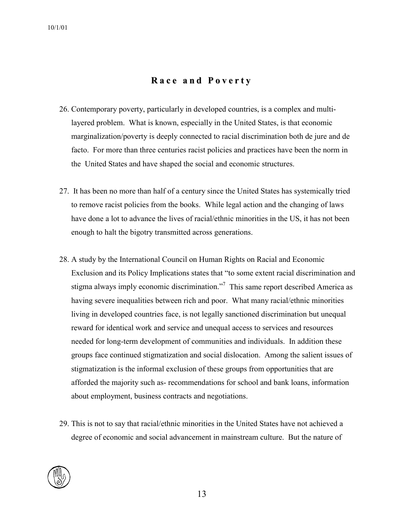### **R a c e a n d P o v e r t y**

- 26. Contemporary poverty, particularly in developed countries, is a complex and multilayered problem. What is known, especially in the United States, is that economic marginalization/poverty is deeply connected to racial discrimination both de jure and de facto. For more than three centuries racist policies and practices have been the norm in the United States and have shaped the social and economic structures.
- 27. It has been no more than half of a century since the United States has systemically tried to remove racist policies from the books. While legal action and the changing of laws have done a lot to advance the lives of racial/ethnic minorities in the US, it has not been enough to halt the bigotry transmitted across generations.
- 28. A study by the International Council on Human Rights on Racial and Economic Exclusion and its Policy Implications states that "to some extent racial discrimination and stigma always imply economic discrimination. $\mathbb{R}^7$  $\mathbb{R}^7$  This same report described America as having severe inequalities between rich and poor. What many racial/ethnic minorities living in developed countries face, is not legally sanctioned discrimination but unequal reward for identical work and service and unequal access to services and resources needed for long-term development of communities and individuals. In addition these groups face continued stigmatization and social dislocation. Among the salient issues of stigmatization is the informal exclusion of these groups from opportunities that are afforded the majority such as- recommendations for school and bank loans, information about employment, business contracts and negotiations.
- 29. This is not to say that racial/ethnic minorities in the United States have not achieved a degree of economic and social advancement in mainstream culture. But the nature of

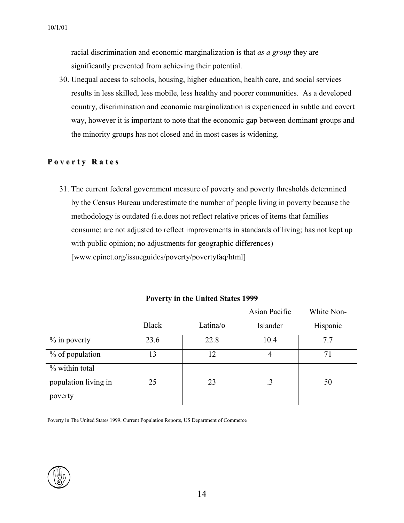racial discrimination and economic marginalization is that *as a group* they are significantly prevented from achieving their potential.

30. Unequal access to schools, housing, higher education, health care, and social services results in less skilled, less mobile, less healthy and poorer communities. As a developed country, discrimination and economic marginalization is experienced in subtle and covert way, however it is important to note that the economic gap between dominant groups and the minority groups has not closed and in most cases is widening.

#### **P o v e r t y R a t e s**

31. The current federal government measure of poverty and poverty thresholds determined by the Census Bureau underestimate the number of people living in poverty because the methodology is outdated (i.e.does not reflect relative prices of items that families consume; are not adjusted to reflect improvements in standards of living; has not kept up with public opinion; no adjustments for geographic differences) [www.epinet.org/issueguides/poverty/povertyfaq/html]

|                      |              |          | Asian Pacific | White Non- |
|----------------------|--------------|----------|---------------|------------|
|                      | <b>Black</b> | Latina/o | Islander      | Hispanic   |
| $\%$ in poverty      | 23.6         | 22.8     | 10.4          | 7.7        |
| % of population      | 13           | 12       | 4             | 71         |
| % within total       |              |          |               |            |
| population living in | 25           | 23       | $\cdot$ 3     | 50         |
| poverty              |              |          |               |            |

#### **Poverty in the United States 1999**

 $\mathbf{W}$  $\mathbf{H}$   $\mathbf{H}$ 

Poverty in The United States 1999, Current Population Reports, US Department of Commerce

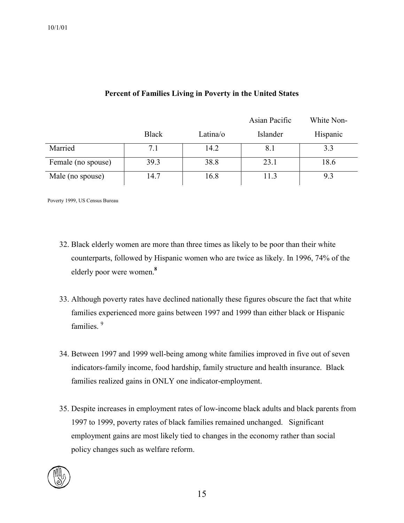#### **Percent of Families Living in Poverty in the United States**

|                    |              |          | Asian Pacific | White Non- |
|--------------------|--------------|----------|---------------|------------|
|                    | <b>Black</b> | Latina/o | Islander      | Hispanic   |
| Married            | 7.1          | 14.2     | 8.1           | 3.3        |
| Female (no spouse) | 39.3         | 38.8     | 23.1          | 18.6       |
| Male (no spouse)   | 14.7         | 16.8     | 11.3          | 9.3        |

Poverty 1999, US Census Bureau

- 32. Black elderly women are more than three times as likely to be poor than their white counterparts, followed by Hispanic women who are twice as likely. In 1996, 74% of the elderly poor were women.**[8](#page-57-7)**
- 33. Although poverty rates have declined nationally these figures obscure the fact that white families experienced more gains between 1997 and 1999 than either black or Hispanic families<sup>[9](#page-57-8)</sup>
- 34. Between 1997 and 1999 well-being among white families improved in five out of seven indicators-family income, food hardship, family structure and health insurance. Black families realized gains in ONLY one indicator-employment.
- 35. Despite increases in employment rates of low-income black adults and black parents from 1997 to 1999, poverty rates of black families remained unchanged. Significant employment gains are most likely tied to changes in the economy rather than social policy changes such as welfare reform.

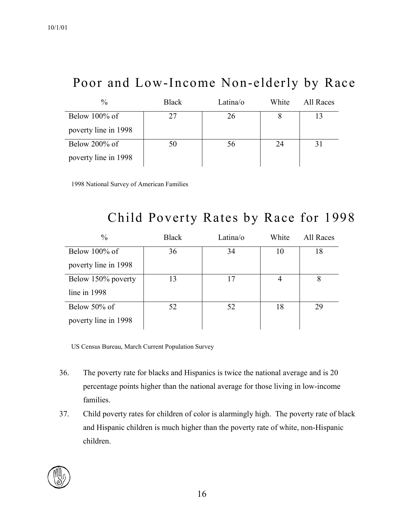# Poor and Low-Income Non-elderly by Race

| $\frac{0}{0}$        | <b>Black</b> | Latina/o | White | All Races |
|----------------------|--------------|----------|-------|-----------|
| Below $100\%$ of     | 27           | 26       |       |           |
| poverty line in 1998 |              |          |       |           |
| Below 200% of        | 50           | 56       | 24    |           |
| poverty line in 1998 |              |          |       |           |

1998 National Survey of American Families

# Child Poverty Rates by Race for 1998

| $\frac{0}{0}$        | <b>Black</b> | Latina/o | White | All Races |
|----------------------|--------------|----------|-------|-----------|
| Below $100\%$ of     | 36           | 34       | 10    | 18        |
| poverty line in 1998 |              |          |       |           |
| Below 150% poverty   | 13           | 17       | 4     | 8         |
| line in $1998$       |              |          |       |           |
| Below 50% of         | 52           | 52       | 18    | 29        |
| poverty line in 1998 |              |          |       |           |

US Census Bureau, March Current Population Survey

- 36. The poverty rate for blacks and Hispanics is twice the national average and is 20 percentage points higher than the national average for those living in low-income families.
- 37. Child poverty rates for children of color is alarmingly high. The poverty rate of black and Hispanic children is much higher than the poverty rate of white, non-Hispanic children.

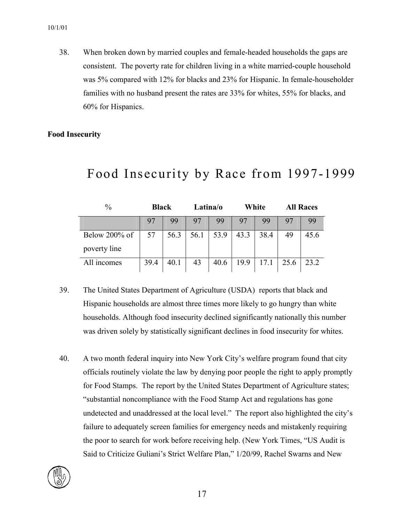38. When broken down by married couples and female-headed households the gaps are consistent. The poverty rate for children living in a white married-couple household was 5% compared with 12% for blacks and 23% for Hispanic. In female-householder families with no husband present the rates are 33% for whites, 55% for blacks, and 60% for Hispanics.

#### **Food Insecurity**

| $\frac{0}{0}$ | <b>Black</b> |      | Latina/o |      |      | White |      | <b>All Races</b> |  |
|---------------|--------------|------|----------|------|------|-------|------|------------------|--|
|               | 97           | 99   | 97       | 99   | 97   | 99    | 97   | 99               |  |
| Below 200% of | 57           | 56.3 | 56.1     | 53.9 | 43.3 | 38.4  | 49   | 45.6             |  |
| poverty line  |              |      |          |      |      |       |      |                  |  |
| All incomes   | 39.4         | 40.1 | 43       | 40.6 | 19.9 | 17.1  | 25.6 | 23.2             |  |

### Food Insecurity by Race from 1997-1999

- 39. The United States Department of Agriculture (USDA) reports that black and Hispanic households are almost three times more likely to go hungry than white households. Although food insecurity declined significantly nationally this number was driven solely by statistically significant declines in food insecurity for whites.
- 40. A two month federal inquiry into New York City's welfare program found that city officials routinely violate the law by denying poor people the right to apply promptly for Food Stamps. The report by the United States Department of Agriculture states; "substantial noncompliance with the Food Stamp Act and regulations has gone undetected and unaddressed at the local level." The report also highlighted the city's failure to adequately screen families for emergency needs and mistakenly requiring the poor to search for work before receiving help. (New York Times, "US Audit is Said to Criticize Guliani's Strict Welfare Plan," 1/20/99, Rachel Swarns and New

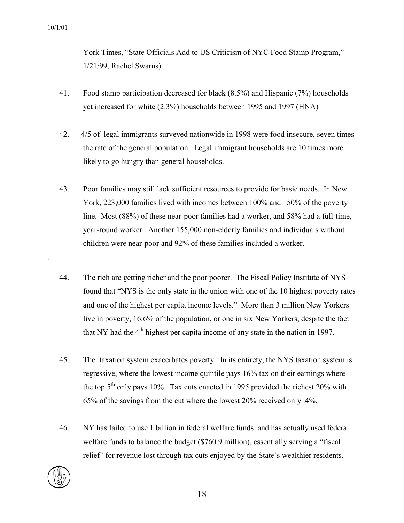York Times, "State Officials Add to US Criticism of NYC Food Stamp Program," 1/21/99, Rachel Swarns).

- 41. Food stamp participation decreased for black (8.5%) and Hispanic (7%) households yet increased for white (2.3%) households between 1995 and 1997 (HNA)
- 42. 4/5 of legal immigrants surveyed nationwide in 1998 were food insecure, seven times the rate of the general population. Legal immigrant households are 10 times more likely to go hungry than general households.
- 43. Poor families may still lack sufficient resources to provide for basic needs. In New York, 223,000 families lived with incomes between 100% and 150% of the poverty line. Most (88%) of these near-poor families had a worker, and 58% had a full-time, year-round worker. Another 155,000 non-elderly families and individuals without children were near-poor and 92% of these families included a worker.
- 44. The rich are getting richer and the poor poorer. The Fiscal Policy Institute of NYS found that "NYS is the only state in the union with one of the 10 highest poverty rates and one of the highest per capita income levels." More than 3 million New Yorkers live in poverty, 16.6% of the population, or one in six New Yorkers, despite the fact that NY had the  $4<sup>th</sup>$  highest per capita income of any state in the nation in 1997.
- 45. The taxation system exacerbates poverty. In its entirety, the NYS taxation system is regressive, where the lowest income quintile pays 16% tax on their earnings where the top  $5<sup>th</sup>$  only pays 10%. Tax cuts enacted in 1995 provided the richest 20% with 65% of the savings from the cut where the lowest 20% received only .4%.
- 46. NY has failed to use 1 billion in federal welfare funds and has actually used federal welfare funds to balance the budget (\$760.9 million), essentially serving a "fiscal relief" for revenue lost through tax cuts enjoyed by the State's wealthier residents.



.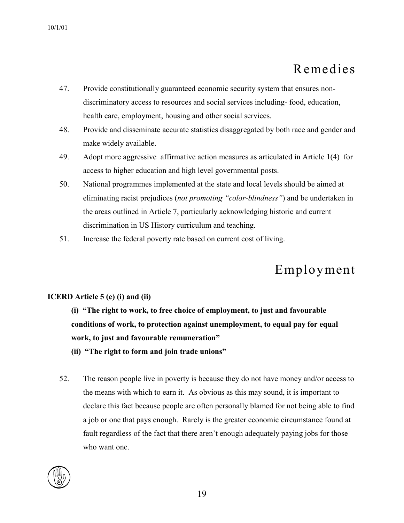# Remedies

- 47. Provide constitutionally guaranteed economic security system that ensures nondiscriminatory access to resources and social services including- food, education, health care, employment, housing and other social services.
- 48. Provide and disseminate accurate statistics disaggregated by both race and gender and make widely available.
- 49. Adopt more aggressive affirmative action measures as articulated in Article 1(4) for access to higher education and high level governmental posts.
- 50. National programmes implemented at the state and local levels should be aimed at eliminating racist prejudices (*not promoting "color-blindness"*) and be undertaken in the areas outlined in Article 7, particularly acknowledging historic and current discrimination in US History curriculum and teaching.
- 51. Increase the federal poverty rate based on current cost of living.

# Employment

### **ICERD Article 5 (e) (i) and (ii)**

**(i) "The right to work, to free choice of employment, to just and favourable conditions of work, to protection against unemployment, to equal pay for equal work, to just and favourable remuneration"** 

- **(ii) "The right to form and join trade unions"**
- 52. The reason people live in poverty is because they do not have money and/or access to the means with which to earn it. As obvious as this may sound, it is important to declare this fact because people are often personally blamed for not being able to find a job or one that pays enough. Rarely is the greater economic circumstance found at fault regardless of the fact that there aren't enough adequately paying jobs for those who want one.

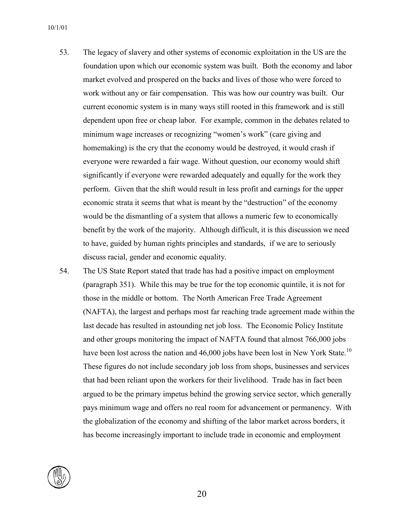- 53. The legacy of slavery and other systems of economic exploitation in the US are the foundation upon which our economic system was built. Both the economy and labor market evolved and prospered on the backs and lives of those who were forced to work without any or fair compensation. This was how our country was built. Our current economic system is in many ways still rooted in this framework and is still dependent upon free or cheap labor. For example, common in the debates related to minimum wage increases or recognizing "women's work" (care giving and homemaking) is the cry that the economy would be destroyed, it would crash if everyone were rewarded a fair wage. Without question, our economy would shift significantly if everyone were rewarded adequately and equally for the work they perform. Given that the shift would result in less profit and earnings for the upper economic strata it seems that what is meant by the "destruction" of the economy would be the dismantling of a system that allows a numeric few to economically benefit by the work of the majority. Although difficult, it is this discussion we need to have, guided by human rights principles and standards, if we are to seriously discuss racial, gender and economic equality.
- 54. The US State Report stated that trade has had a positive impact on employment (paragraph 351). While this may be true for the top economic quintile, it is not for those in the middle or bottom. The North American Free Trade Agreement (NAFTA), the largest and perhaps most far reaching trade agreement made within the last decade has resulted in astounding net job loss. The Economic Policy Institute and other groups monitoring the impact of NAFTA found that almost 766,000 jobs have been lost across the nation and 46,000 jobs have been lost in New York State.<sup>10</sup> These figures do not include secondary job loss from shops, businesses and services that had been reliant upon the workers for their livelihood. Trade has in fact been argued to be the primary impetus behind the growing service sector, which generally pays minimum wage and offers no real room for advancement or permanency. With the globalization of the economy and shifting of the labor market across borders, it has become increasingly important to include trade in economic and employment

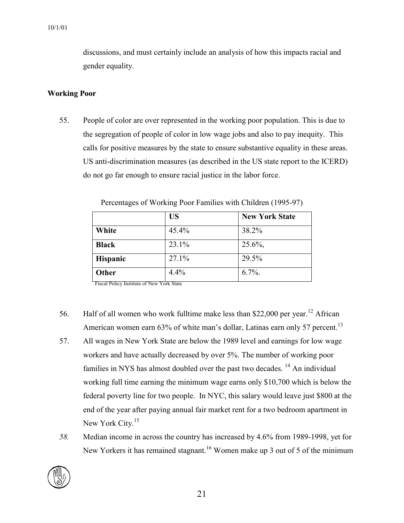discussions, and must certainly include an analysis of how this impacts racial and gender equality.

#### **[Wo](#page-57-10)rking Poor**

55. People of color are over represented in the working poor population. This is due to the segregation of people of color in low wage jobs and also to pay inequity. This calls for positive measures by the state to ensure substantive equality in these areas. US anti-discrimination measures (as described in the US state report to the ICERD) do not go far enough to ensure racial justice in the labor force.

|                 | <b>US</b> | <b>New York State</b> |
|-----------------|-----------|-----------------------|
| White           | 45.4%     | 38.2%                 |
| <b>Black</b>    | 23.1%     | $25.6\%$ ,            |
| <b>Hispanic</b> | 27.1%     | 29.5%                 |
| Other           | 4.4%      | $6.7\%$ .             |

Percentages of Working Poor Families with Children (1995-97)

Fiscal Policy Institute of New York State

- 56. Half of all women who work fulltime make less than \$22,000 per year.<sup>12</sup> African American women earn 63% of white man's dollar, Latinas earn only 57 percent.<sup>13</sup>
- 57. All wages in New York State are below the 1989 level and earnings for low wage workers and have actually decreased by over 5%. The number of working poor families in NYS has almost doubled over the past two decades.  $14$  An individual working full time earning the minimum wage earns only \$10,700 which is below the federal poverty line for two people. In NYC, this salary would leave just \$800 at the end of the year after paying annual fair market rent for a two bedroom apartment in New York City.<sup>[15](#page-57-14)</sup>
- *58.* Median income in across the country has increased by 4.6% from 1989-1998, yet for New Yorkers it has remained stagnant.<sup>[16](#page-57-15)</sup> Women make up 3 out of 5 of the minimum

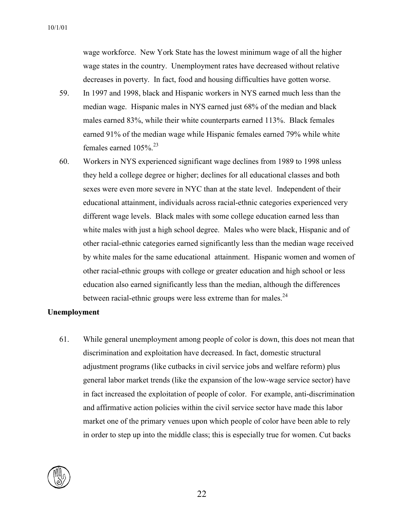wage workforce.New York State has the lowest minimum wage of all the higher wage states in the country. Unemployment rates have decreased without relative decreases in poverty. In fact, food and housing difficulties have gotten worse.

- 59. [In](#page-57-16) 1997 and 1998, black and Hispanic workers in NYS earned much less than the median wage. Hispanic males in NYS earned just 68% of the median and black males earned 83%, while their white counterparts earned 113%. Black females earned 91% of the median wage while Hispanic females earned 79% while white females earned  $105\%$ <sup>23</sup>
- 60. Workers in NYS experienced significant wage declines from 1989 to 1998 unless they held a college degree or higher; declines for all educational classes and both sexes were even more severe in NYC than at the state level. Independent of their educational attainment, individuals across racial-ethnic categories experienced very different wage levels. Black males with some college education earned less than white males with just a high school degree. Males who were black, Hispanic and of other racial-ethnic categories earned significantly less than the median wage received by white males for the same educational attainment. Hispanic women and women of other racial-ethnic groups with college or greater education and high school or less education also earned significantly less than the median, although the differences between racial-ethnic groups were less extreme than for males. $^{24}$

#### **[Un](#page-57-19)employment**

61. While general unemployment among people of color is down, this does not mean that discrimination and exploitation have decreased. In fact, domestic structural adjustment programs (like cutbacks in civil service jobs and welfare reform) plus general labor market trends (like the expansion of the low-wage service sector) have in fact increased the exploitation of people of color. For example, anti-discrimination and affirmative action policies within the civil service sector have made this labor market one of the primary venues upon which people of color have been able to rely in order to step up into the middle class; this is especially true for women. Cut backs

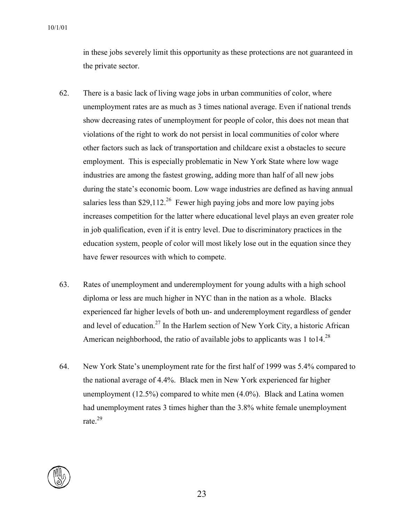in these jobs severely limit this opportunity as these protections are not guaranteed in the private sector.

- 62. There is a basic lack of living wage jobs in urban communities of color, where unemployment rates are as much as 3 times national average. Even if national trends show decreasing rates of unemployment for people of color, this does not mean that violations of the right to work do not persist in local communities of color where other factors such as lack of transportation and childcare exist a obstacles to secure employment. This is especially problematic in New York State where low wage industries are among the fastest growing, adding more than half of all new jobs during the state's economic boom. Low wage industries are defined as having annual salaries less than \$29,112.<sup>26</sup> Fewer high paying jobs and more low paying jobs increases competition for the latter where educational level plays an even greater role in job qualification, even if it is entry level. Due to discriminatory practices in the education system, people of color will most likely lose out in the equation since they have fewer resources with which to compete.
- 63. Rates of unemployment and underemployment for young adults with a high school diploma or less are much higher in NYC than in the nation as a whole. Blacks experienced far higher levels of both un- and underemployment regardless of gender and level of education.<sup>[27](#page-57-21)</sup> In the Harlem section of New York City, a historic African American neighborhood, the ratio of available jobs to applicants was 1 to 14.<sup>28</sup>
- 64. New York State's unemployment rate for the first half of 1999 was 5.4% compared to the national average of 4.4%. Black men in New York experienced far higher unemployment (12.5%) compared to white men (4.0%). Black and Latina women had unemployment rates 3 times higher than the 3.8% white female unemployment rate. [29](#page-57-23)

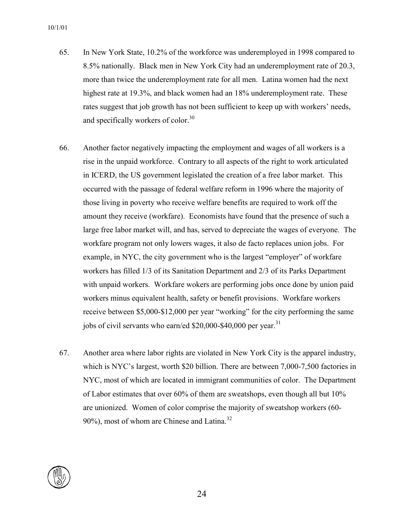- 65. In New York State, 10.2% of the workforce was underemployed in 1998 compared to 8.5% nationally. Black men in New York City had an underemployment rate of 20.3, more than twice the underemployment rate for all men. Latina women had the next highest rate at 19.3%, and black women had an 18% underemployment rate. These rates suggest that job growth has not been sufficient to keep up with workers' needs, and specifically workers of color. $30$
- 66. Another factor negatively impacting the employment and wages of all workers is a rise in the unpaid workforce. Contrary to all aspects of the right to work articulated in ICERD, the US government legislated the creation of a free labor market. This occurred with the passage of federal welfare reform in 1996 where the majority of those living in poverty who receive welfare benefits are required to work off the amount they receive (workfare). Economists have found that the presence of such a large free labor market will, and has, served to depreciate the wages of everyone. The workfare program not only lowers wages, it also de facto replaces union jobs. For example, in NYC, the city government who is the largest "employer" of workfare workers has filled 1/3 of its Sanitation Department and 2/3 of its Parks Department with unpaid workers. Workfare wokers are performing jobs once done by union paid workers minus equivalent health, safety or benefit provisions. Workfare workers receive between \$5,000-\$12,000 per year "working" for the city performing the same jobs of civil servants who earn/ed  $$20,000$ -\$40,000 per year.<sup>31</sup>
- 67. Another area where labor rights are violated in New York City is the apparel industry, which is NYC's largest, worth \$20 billion. There are between 7,000-7,500 factories in NYC, most of which are located in immigrant communities of color. The Department of Labor estimates that over 60% of them are sweatshops, even though all but 10% are unionized. Women of color comprise the majority of sweatshop workers (60-  $90\%$ ), most of whom are Chinese and Latina.<sup>32</sup>

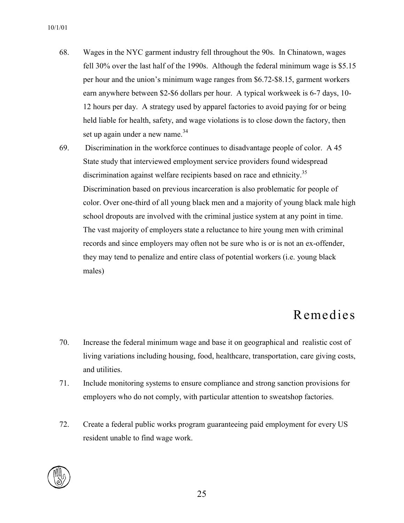- 68. Wages in the NYC garment industry fell throughout the 90s. In Chinatown, wages fell 30% over the last half of the 1990s. Although the federal minimum wage is \$5.15 per hour and the union's minimum wage ranges from \$6.72-\$8.15, garment workers earn anywhere between \$2-\$6 dollars per hour. A typical workweek is 6-7 days, 10- 12 hours per day. A strategy used by apparel factories to avoid paying for or being held liable for health, safety, and wage violations is to close down the factory, then set up again under a new name. $34$
- 69. Discrimination in the workforce continues to disadvantage people of color. A 45 State study that interviewed employment service providers found widespread discrimination against welfare recipients based on race and ethnicity.<sup>35</sup> Discrimination based on previous incarceration is also problematic for people of color. Over one-third of all young black men and a majority of young black male high school dropouts are involved with the criminal justice system at any point in time. The vast majority of employers state a reluctance to hire young men with criminal records and since employers may often not be sure who is or is not an ex-offender, they may tend to penalize and entire class of potential workers (i.e. young black males)

### Remedies

- 70. Increase the federal minimum wage and base it on geographical and realistic cost of living variations including housing, food, healthcare, transportation, care giving costs, and utilities.
- 71. Include monitoring systems to ensure compliance and strong sanction provisions for employers who do not comply, with particular attention to sweatshop factories.
- 72. Create a federal public works program guaranteeing paid employment for every US resident unable to find wage work.

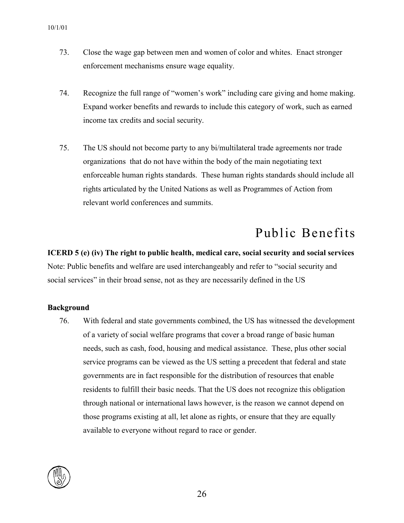- 73. Close the wage gap between men and women of color and whites. Enact stronger enforcement mechanisms ensure wage equality.
- 74. Recognize the full range of "women's work" including care giving and home making. Expand worker benefits and rewards to include this category of work, such as earned income tax credits and social security.
- 75. The US should not become party to any bi/multilateral trade agreements nor trade organizations that do not have within the body of the main negotiating text enforceable human rights standards. These human rights standards should include all rights articulated by the United Nations as well as Programmes of Action from relevant world conferences and summits.

# Public Benefits

**ICERD 5 (e) (iv) The right to public health, medical care, social security and social services**  Note: Public benefits and welfare are used interchangeably and refer to "social security and social services" in their broad sense, not as they are necessarily defined in the US

#### **Background**

76. With federal and state governments combined, the US has witnessed the development of a variety of social welfare programs that cover a broad range of basic human needs, such as cash, food, housing and medical assistance. These, plus other social service programs can be viewed as the US setting a precedent that federal and state governments are in fact responsible for the distribution of resources that enable residents to fulfill their basic needs. That the US does not recognize this obligation through national or international laws however, is the reason we cannot depend on those programs existing at all, let alone as rights, or ensure that they are equally available to everyone without regard to race or gender.

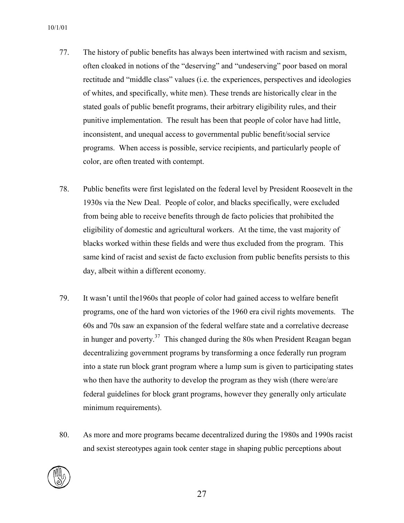- 77. The history of public benefits has always been intertwined with racism and sexism, often cloaked in notions of the "deserving" and "undeserving" poor based on moral rectitude and "middle class" values (i.e. the experiences, perspectives and ideologies of whites, and specifically, white men). These trends are historically clear in the stated goals of public benefit programs, their arbitrary eligibility rules, and their punitive implementation. The result has been that people of color have had little, inconsistent, and unequal access to governmental public benefit/social service programs. When access is possible, service recipients, and particularly people of color, are often treated with contempt.
- 78. Public benefits were first legislated on the federal level by President Roosevelt in the 1930s via the New Deal. People of color, and blacks specifically, were excluded from being able to receive benefits through de facto policies that prohibited the eligibility of domestic and agricultural workers. At the time, the vast majority of blacks worked within these fields and were thus excluded from the program. This same kind of racist and sexist de facto exclusion from public benefits persists to this day, albeit within a different economy.
- 79. It wasn't until the1960s that people of color had gained access to welfare benefit programs, one of the hard won victories of the 1960 era civil rights movements. The 60s and 70s saw an expansion of the federal welfare state and a correlative decrease in hunger and poverty.<sup>37</sup> This changed during the 80s when President Reagan began decentralizing government programs by transforming a once federally run program into a state run block grant program where a lump sum is given to participating states who then have the authority to develop the program as they wish (there were/are federal guidelines for block grant programs, however they generally only articulate minimum requirements).
- 80. As more and more programs became decentralized during the 1980s and 1990s racist and sexist stereotypes again took center stage in shaping public perceptions about

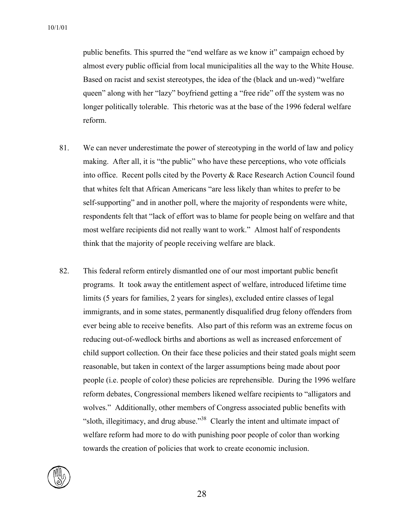public benefits. This spurred the "end welfare as we know it" campaign echoed by almost every public official from local municipalities all the way to the White House. Based on racist and sexist stereotypes, the idea of the (black and un-wed) "welfare queen" along with her "lazy" boyfriend getting a "free ride" off the system was no longer politically tolerable. This rhetoric was at the base of the 1996 federal welfare reform.

- 81. We can never underestimate the power of stereotyping in the world of law and policy making. After all, it is "the public" who have these perceptions, who vote officials into office. Recent polls cited by the Poverty  $\&$  Race Research Action Council found that whites felt that African Americans "are less likely than whites to prefer to be self-supporting" and in another poll, where the majority of respondents were white, respondents felt that "lack of effort was to blame for people being on welfare and that most welfare recipients did not really want to work." Almost half of respondents think that the majority of people receiving welfare are black.
- 82. This federal reform entirely dismantled one of our most important public benefit programs. It took away the entitlement aspect of welfare, introduced lifetime time limits (5 years for families, 2 years for singles), excluded entire classes of legal immigrants, and in some states, permanently disqualified drug felony offenders from ever being able to receive benefits. Also part of this reform was an extreme focus on reducing out-of-wedlock births and abortions as well as increased enforcement of child support collection. On their face these policies and their stated goals might seem reasonable, but taken in context of the larger assumptions being made about poor people (i.e. people of color) these policies are reprehensible. During the 1996 welfare reform debates, Congressional members likened welfare recipients to "alligators and wolves." Additionally, other members of Congress associated public benefits with "sloth, illegitimacy, and drug abuse."<sup>38</sup> Clearly the intent and ultimate impact of welfare reform had more to do with punishing poor people of color than working towards the creation of policies that work to create economic inclusion.

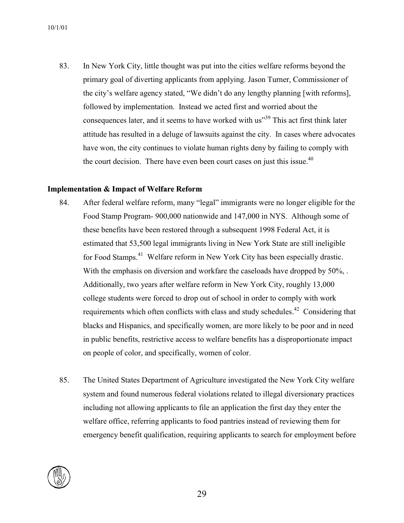83. In New York City, little thought was put into the cities welfare reforms beyond the primary goal of diverting applicants from applying. Jason Turner, Commissioner of the city's welfare agency stated, "We didn't do any lengthy planning [with reforms], followed by implementation. Instead we acted first and worried about the consequences later, and it seems to have worked with us<sup>339</sup> This act first think later attitude has resulted in a deluge of lawsuits against the city. In cases where advocates have won, the city continues to violate human rights deny by failing to comply with the court decision. There have even been court cases on just this issue.<sup>40</sup>

#### **Implementation & Impact of Welfare Reform**

- 84. After federal welfare reform, many "legal" immigrants were no longer eligible for the Food Stamp Program- 900,000 nationwide and 147,000 in NYS. Although some of these benefits have been restored through a subsequent 1998 Federal Act, it is estimated that 53,500 legal immigrants living in New York State are still ineligible for Food Stamps.<sup>41</sup> Welfare reform in New York City has been especially drastic. With the emphasis on diversion and workfare the caseloads have dropped by 50%, . Additionally, two years after welfare reform in New York City, roughly 13,000 college students were forced to drop out of school in order to comply with work requirements which often conflicts with class and study schedules.<sup>42</sup> Considering that blacks and Hispanics, and specifically women, are more likely to be poor and in need in public benefits, restrictive access to welfare benefits has a disproportionate impact on people of color, and specifically, women of color.
- 85. The United States Department of Agriculture investigated the New York City welfare system and found numerous federal violations related to illegal diversionary practices including not allowing applicants to file an application the first day they enter the welfare office, referring applicants to food pantries instead of reviewing them for emergency benefit qualification, requiring applicants to search for employment before

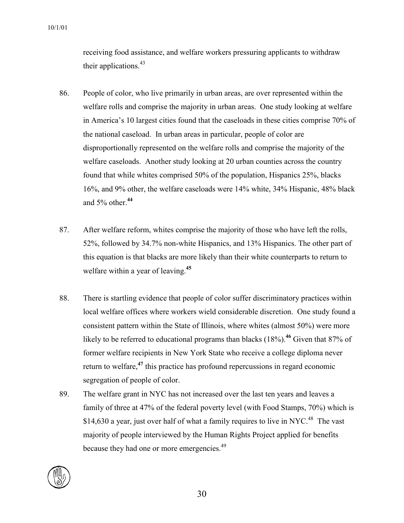receiving food assistance, and welfare workers pressuring applicants to withdraw their applications.<sup>43</sup>

- 86. People of color, who live primarily in urban areas, are over represented within the welfare rolls and comprise the majority in urban areas. One study looking at welfare in America's 10 largest cities found that the caseloads in these cities comprise 70% of the national caseload. In urban areas in particular, people of color are disproportionally represented on the welfare rolls and comprise the majority of the welfare caseloads. Another study looking at 20 urban counties across the country found that while whites comprised 50% of the population, Hispanics 25%, blacks 16%, and 9% other, the welfare caseloads were 14% white, 34% Hispanic, 48% black and 5% other.**[44](#page-57-36)**
- 87. After welfare reform, whites comprise the majority of those who have left the rolls, 52%, followed by 34.7% non-white Hispanics, and 13% Hispanics. The other part of this equation is that blacks are more likely than their white counterparts to return to welfare within a year of leaving. **[45](#page-57-37)**
- 88. There is startling evidence that people of color suffer discriminatory practices within local welfare offices where workers wield considerable discretion. One study found a consistent pattern within the State of Illinois, where whites (almost 50%) were more likely to be referred to educational programs than blacks (18%).<sup>[46](#page-57-38)</sup> Given that 87% of former welfare recipients in New York State who receive a college diploma never return to welfare, **[47](#page-57-39)** this practice has profound repercussions in regard economic segregation of people of color.
- 89. The welfare grant in NYC has not increased over the last ten years and leaves a family of three at 47% of the federal poverty level (with Food Stamps, 70%) which is \$14,630 a year, just over half of what a family requires to live in NYC.<sup>48</sup> The vast majority of people interviewed by the Human Rights Project applied for benefits because they had one or more emergencies.<sup>[49](#page-57-41)</sup>

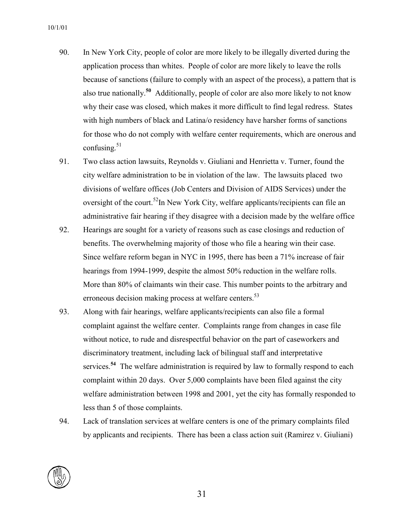- 90. In New York City, people of color are more likely to be illegally diverted during the application process than whites. People of color are more likely to leave the rolls because of sanctions (failure to comply with an aspect of the process), a pattern that is also true nationally. **[50](#page-57-42)** Additionally, people of color are also more likely to not know why their case was closed, which makes it more difficult to find legal redress. States with high numbers of black and Latina/o residency have harsher forms of sanctions for those who do not comply with welfare center requirements, which are onerous and confusing. [51](#page-57-43)
- 91. Two class action lawsuits, Reynolds v. Giuliani and Henrietta v. Turner, found the city welfare administration to be in violation of the law. The lawsuits placed two divisions of welfare offices (Job Centers and Division of AIDS Services) under the oversight of the court.<sup>52</sup>In New York City, welfare applicants/recipients can file an administrative fair hearing if they disagree with a decision made by the welfare office
- 92. Hearings are sought for a variety of reasons such as case closings and reduction of benefits. The overwhelming majority of those who file a hearing win their case. Since welfare reform began in NYC in 1995, there has been a 71% increase of fair hearings from 1994-1999, despite the almost 50% reduction in the welfare rolls. More than 80% of claimants win their case. This number points to the arbitrary and erroneous decision making process at welfare centers.<sup>53</sup>
- 93. Along with fair hearings, welfare applicants/recipients can also file a formal complaint against the welfare center. Complaints range from changes in case file without notice, to rude and disrespectful behavior on the part of caseworkers and discriminatory treatment, including lack of bilingual staff and interpretative services.**[54](#page-57-46)** The welfare administration is required by law to formally respond to each complaint within 20 days. Over 5,000 complaints have been filed against the city welfare administration between 1998 and 2001, yet the city has formally responded to less than 5 of those complaints.
- 94. Lack of translation services at welfare centers is one of the primary complaints filed by applicants and recipients. There has been a class action suit (Ramirez v. Giuliani)

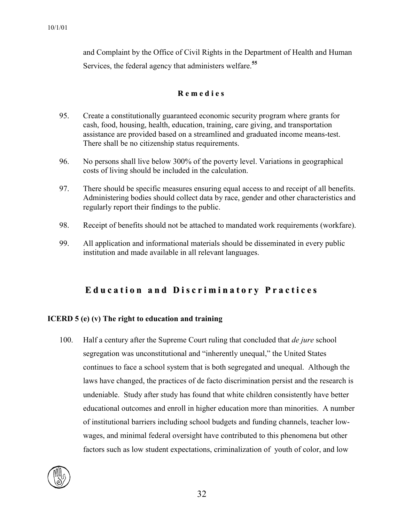and Complaint by the Office of Civil Rights in the Department of Health and Human Services, the federal agency that administers welfare. **[55](#page-57-47)**

#### **R e m e d i e s**

- 95. Create a constitutionally guaranteed economic security program where grants for cash, food, housing, health, education, training, care giving, and transportation assistance are provided based on a streamlined and graduated income means-test. There shall be no citizenship status requirements.
- 96. No persons shall live below 300% of the poverty level. Variations in geographical costs of living should be included in the calculation.
- 97. There should be specific measures ensuring equal access to and receipt of all benefits. Administering bodies should collect data by race, gender and other characteristics and regularly report their findings to the public.
- 98. Receipt of benefits should not be attached to mandated work requirements (workfare).
- 99. All application and informational materials should be disseminated in every public institution and made available in all relevant languages.

### **Education and Discriminatory Practices**

#### **ICERD 5 (e) (v) The right to education and training**

100. Half a century after the Supreme Court ruling that concluded that *de jure* school segregation was unconstitutional and "inherently unequal," the United States continues to face a school system that is both segregated and unequal. Although the laws have changed, the practices of de facto discrimination persist and the research is undeniable. Study after study has found that white children consistently have better educational outcomes and enroll in higher education more than minorities. A number of institutional barriers including school budgets and funding channels, teacher lowwages, and minimal federal oversight have contributed to this phenomena but other factors such as low student expectations, criminalization of youth of color, and low

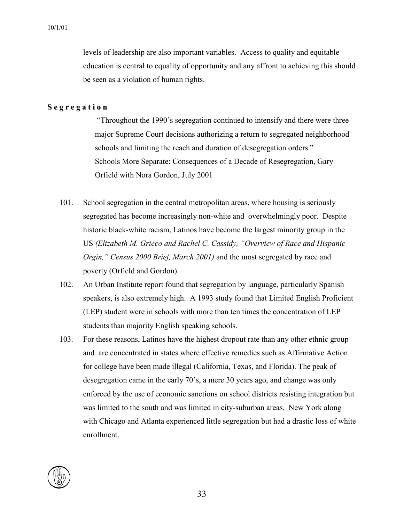levels of leadership are also important variables. Access to quality and equitable education is central to equality of opportunity and any affront to achieving this should be seen as a violation of human rights.

#### **S e g r e g a t i o n**

 "Throughout the 1990's segregation continued to intensify and there were three major Supreme Court decisions authorizing a return to segregated neighborhood schools and limiting the reach and duration of desegregation orders." Schools More Separate: Consequences of a Decade of Resegregation, Gary Orfield with Nora Gordon, July 2001

- 101. School segregation in the central metropolitan areas, where housing is seriously segregated has become increasingly non-white and overwhelmingly poor. Despite historic black-white racism, Latinos have become the largest minority group in the US *(Elizabeth M. Grieco and Rachel C. Cassidy, "Overview of Race and Hispanic Orgin," Census 2000 Brief, March 2001)* and the most segregated by race and poverty (Orfield and Gordon).
- 102. An Urban Institute report found that segregation by language, particularly Spanish speakers, is also extremely high. A 1993 study found that Limited English Proficient (LEP) student were in schools with more than ten times the concentration of LEP students than majority English speaking schools.
- 103. For these reasons, Latinos have the highest dropout rate than any other ethnic group and are concentrated in states where effective remedies such as Affirmative Action for college have been made illegal (California, Texas, and Florida). The peak of desegregation came in the early 70's, a mere 30 years ago, and change was only enforced by the use of economic sanctions on school districts resisting integration but was limited to the south and was limited in city-suburban areas. New York along with Chicago and Atlanta experienced little segregation but had a drastic loss of white enrollment.

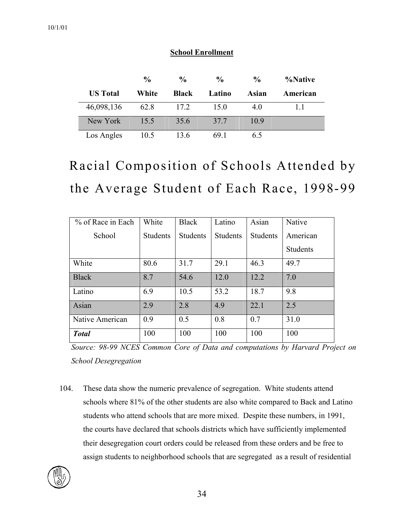|                 | $\frac{6}{9}$ | $\frac{0}{0}$ | $\frac{0}{0}$ | $\frac{0}{0}$ | %Native  |
|-----------------|---------------|---------------|---------------|---------------|----------|
| <b>US</b> Total | White         | <b>Black</b>  | Latino        | Asian         | American |
| 46,098,136      | 62.8          | 17.2          | 15.0          | 40            | 11       |
| New York        | 15.5          | 35.6          | 37.7          | 10.9          |          |
| Los Angles      | 10.5          | 13.6          | 691           | 65            |          |

### **School Enrollment**

# Racial Composition of Schools Attended by the Average Student of Each Race, 1998-99

| % of Race in Each | White           | <b>Black</b>    | Latino          | Asian           | Native   |
|-------------------|-----------------|-----------------|-----------------|-----------------|----------|
| School            | <b>Students</b> | <b>Students</b> | <b>Students</b> | <b>Students</b> | American |
|                   |                 |                 |                 |                 | Students |
| White             | 80.6            | 31.7            | 29.1            | 46.3            | 49.7     |
| <b>Black</b>      | 8.7             | 54.6            | 12.0            | 12.2            | 7.0      |
| Latino            | 6.9             | 10.5            | 53.2            | 18.7            | 9.8      |
| Asian             | 2.9             | 2.8             | 4.9             | 22.1            | 2.5      |
| Native American   | 0.9             | 0.5             | 0.8             | 0.7             | 31.0     |
| <b>Total</b>      | 100             | 100             | 100             | 100             | 100      |

*Source: 98-99 NCES Common Core of Data and computations by Harvard Project on School Desegregation* 

104. These data show the numeric prevalence of segregation. White students attend schools where 81% of the other students are also white compared to Back and Latino students who attend schools that are more mixed. Despite these numbers, in 1991, the courts have declared that schools districts which have sufficiently implemented their desegregation court orders could be released from these orders and be free to assign students to neighborhood schools that are segregated as a result of residential

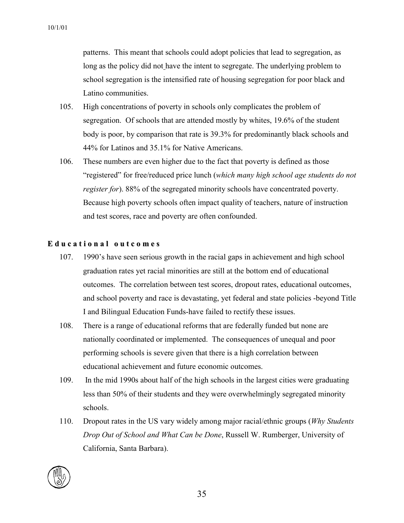patterns. This meant that schools could adopt policies that lead to segregation, as long as the policy did not have the intent to segregate. The underlying problem to school segregation is the intensified rate of housing segregation for poor black and Latino communities.

- 105. High concentrations of poverty in schools only complicates the problem of segregation. Of schools that are attended mostly by whites, 19.6% of the student body is poor, by comparison that rate is 39.3% for predominantly black schools and 44% for Latinos and 35.1% for Native Americans.
- 106. These numbers are even higher due to the fact that poverty is defined as those "registered" for free/reduced price lunch (*which many high school age students do not register for*). 88% of the segregated minority schools have concentrated poverty. Because high poverty schools often impact quality of teachers, nature of instruction and test scores, race and poverty are often confounded.

#### **E d u c a t i o n a l o u t c o m e s**

- 107. 1990's have seen serious growth in the racial gaps in achievement and high school graduation rates yet racial minorities are still at the bottom end of educational outcomes. The correlation between test scores, dropout rates, educational outcomes, and school poverty and race is devastating, yet federal and state policies -beyond Title I and Bilingual Education Funds-have failed to rectify these issues.
- 108. There is a range of educational reforms that are federally funded but none are nationally coordinated or implemented. The consequences of unequal and poor performing schools is severe given that there is a high correlation between educational achievement and future economic outcomes.
- 109. In the mid 1990s about half of the high schools in the largest cities were graduating less than 50% of their students and they were overwhelmingly segregated minority schools.
- 110. Dropout rates in the US vary widely among major racial/ethnic groups (*Why Students Drop Out of School and What Can be Done*, Russell W. Rumberger, University of California, Santa Barbara).

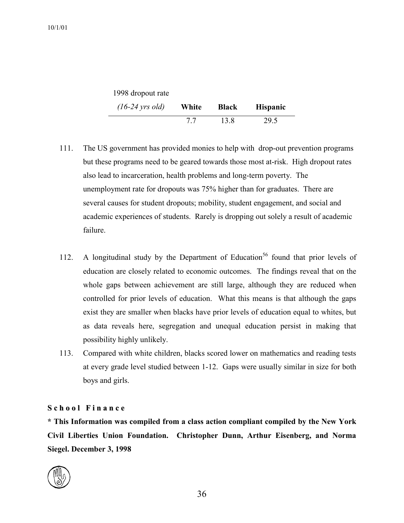| 1998 dropout rate         |       |              |                 |
|---------------------------|-------|--------------|-----------------|
| $(16-24 \text{ yrs old})$ | White | <b>Black</b> | <b>Hispanic</b> |
|                           | 77    | 13.8         | 29.5            |

- 111. The US government has provided monies to help with drop-out prevention programs but these programs need to be geared towards those most at-risk. High dropout rates also lead to incarceration, health problems and long-term poverty. The unemployment rate for dropouts was 75% higher than for graduates. There are several causes for student dropouts; mobility, student engagement, and social and academic experiences of students. Rarely is dropping out solely a result of academic failure.
- 112. A longitudinal study by the Department of Education<sup>56</sup> found that prior levels of education are closely related to economic outcomes. The findings reveal that on the whole gaps between achievement are still large, although they are reduced when controlled for prior levels of education. What this means is that although the gaps exist they are smaller when blacks have prior levels of education equal to whites, but as data reveals here, segregation and unequal education persist in making that possibility highly unlikely.
- 113. Compared with white children, blacks scored lower on mathematics and reading tests at every grade level studied between 1-12. Gaps were usually similar in size for both boys and girls.

#### **S c h o o l F i n a n c e**

**\* This Information was compiled from a class action compliant compiled by the New York Civil Liberties Union Foundation. Christopher Dunn, Arthur Eisenberg, and Norma Siegel. December 3, 1998** 

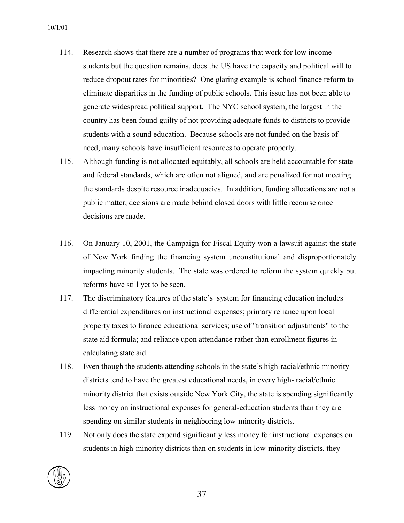- 114. Research shows that there are a number of programs that work for low income students but the question remains, does the US have the capacity and political will to reduce dropout rates for minorities? One glaring example is school finance reform to eliminate disparities in the funding of public schools. This issue has not been able to generate widespread political support. The NYC school system, the largest in the country has been found guilty of not providing adequate funds to districts to provide students with a sound education. Because schools are not funded on the basis of need, many schools have insufficient resources to operate properly.
- 115. Although funding is not allocated equitably, all schools are held accountable for state and federal standards, which are often not aligned, and are penalized for not meeting the standards despite resource inadequacies. In addition, funding allocations are not a public matter, decisions are made behind closed doors with little recourse once decisions are made.
- 116. On January 10, 2001, the Campaign for Fiscal Equity won a lawsuit against the state of New York finding the financing system unconstitutional and disproportionately impacting minority students. The state was ordered to reform the system quickly but reforms have still yet to be seen.
- 117. The discriminatory features of the state's system for financing education includes differential expenditures on instructional expenses; primary reliance upon local property taxes to finance educational services; use of "transition adjustments" to the state aid formula; and reliance upon attendance rather than enrollment figures in calculating state aid.
- 118. Even though the students attending schools in the state's high-racial/ethnic minority districts tend to have the greatest educational needs, in every high- racial/ethnic minority district that exists outside New York City, the state is spending significantly less money on instructional expenses for general-education students than they are spending on similar students in neighboring low-minority districts.
- 119. Not only does the state expend significantly less money for instructional expenses on students in high-minority districts than on students in low-minority districts, they

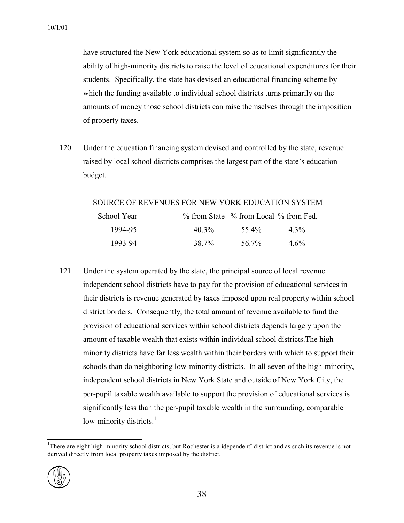have structured the New York educational system so as to limit significantly the ability of high-minority districts to raise the level of educational expenditures for their students. Specifically, the state has devised an educational financing scheme by which the funding available to individual school districts turns primarily on the amounts of money those school districts can raise themselves through the imposition of property taxes.

120. Under the education financing system devised and controlled by the state, revenue raised by local school districts comprises the largest part of the state's education budget.

#### SOURCE OF REVENUES FOR NEW YORK EDUCATION SYSTEM

| School Year |       | % from State % from Local % from Fed. |         |
|-------------|-------|---------------------------------------|---------|
| 1994-95     | 40.3% | 55.4%                                 | $4.3\%$ |
| 1993-94     | 38.7% | 56.7%                                 | $4.6\%$ |

121. Under the system operated by the state, the principal source of local revenue independent school districts have to pay for the provision of educational services in their districts is revenue generated by taxes imposed upon real property within school district borders. Consequently, the total amount of revenue available to fund the provision of educational services within school districts depends largely upon the amount of taxable wealth that exists within individual school districts.The highminority districts have far less wealth within their borders with which to support their schools than do neighboring low-minority districts. In all seven of the high-minority, independent school districts in New York State and outside of New York City, the per-pupil taxable wealth available to support the provision of educational services is significantly less than the per-pupil taxable wealth in the surrounding, comparable low-minority districts. $<sup>1</sup>$  $<sup>1</sup>$  $<sup>1</sup>$ </sup>

<span id="page-37-0"></span> <sup>1</sup> <sup>1</sup>There are eight high-minority school districts, but Rochester is a idependentî district and as such its revenue is not derived directly from local property taxes imposed by the district.

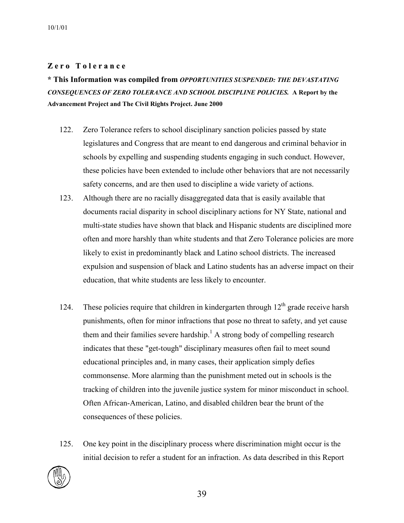#### **[Z](#page-57-49) e r o T o l e r a n c e**

**\* This Information was compiled from** *OPPORTUNITIES SUSPENDED: THE DEVASTATING CONSEQUENCES OF ZERO TOLERANCE AND SCHOOL DISCIPLINE POLICIES.* **A Report by the Advancement Project and The Civil Rights Project. June 2000** 

- 122. Zero Tolerance refers to school disciplinary sanction policies passed by state legislatures and Congress that are meant to end dangerous and criminal behavior in schools by expelling and suspending students engaging in such conduct. However, these policies have been extended to include other behaviors that are not necessarily safety concerns, and are then used to discipline a wide variety of actions.
- 123. Although there are no racially disaggregated data that is easily available that documents racial disparity in school disciplinary actions for NY State, national and multi-state studies have shown that black and Hispanic students are disciplined more often and more harshly than white students and that Zero Tolerance policies are more likely to exist in predominantly black and Latino school districts. The increased expulsion and suspension of black and Latino students has an adverse impact on their education, that white students are less likely to encounter.
- 124. These policies require that children in kindergarten through  $12<sup>th</sup>$  grade receive harsh punishments, often for minor infractions that pose no threat to safety, and yet cause them and their families severe hardship.<sup>1</sup> A strong body of compelling research indicates that these "get-tough" disciplinary measures often fail to meet sound educational principles and, in many cases, their application simply defies commonsense. More alarming than the punishment meted out in schools is the tracking of children into the juvenile justice system for minor misconduct in school. Often African-American, Latino, and disabled children bear the brunt of the consequences of these policies.
- 125. One key point in the disciplinary process where discrimination might occur is the initial decision to refer a student for an infraction. As data described in this Report

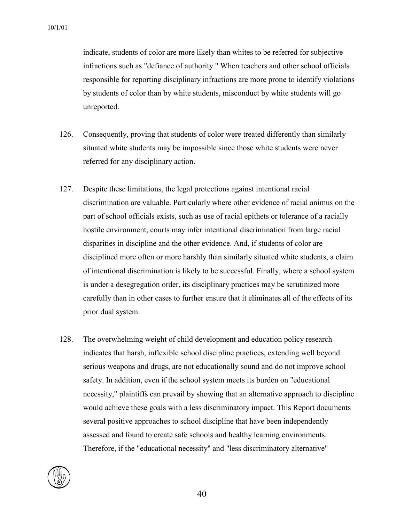indicate, students of color are more likely than whites to be referred for subjective infractions such as "defiance of authority." When teachers and other school officials responsible for reporting disciplinary infractions are more prone to identify violations by students of color than by white students, misconduct by white students will go unreported.

- 126. Consequently, proving that students of color were treated differently than similarly situated white students may be impossible since those white students were never referred for any disciplinary action.
- 127. Despite these limitations, the legal protections against intentional racial discrimination are valuable. Particularly where other evidence of racial animus on the part of school officials exists, such as use of racial epithets or tolerance of a racially hostile environment, courts may infer intentional discrimination from large racial disparities in discipline and the other evidence. And, if students of color are disciplined more often or more harshly than similarly situated white students, a claim of intentional discrimination is likely to be successful. Finally, where a school system is under a desegregation order, its disciplinary practices may be scrutinized more carefully than in other cases to further ensure that it eliminates all of the effects of its prior dual system.
- 128. The overwhelming weight of child development and education policy research indicates that harsh, inflexible school discipline practices, extending well beyond serious weapons and drugs, are not educationally sound and do not improve school safety. In addition, even if the school system meets its burden on "educational necessity," plaintiffs can prevail by showing that an alternative approach to discipline would achieve these goals with a less discriminatory impact. This Report documents several positive approaches to school discipline that have been independently assessed and found to create safe schools and healthy learning environments. Therefore, if the "educational necessity" and "less discriminatory alternative"

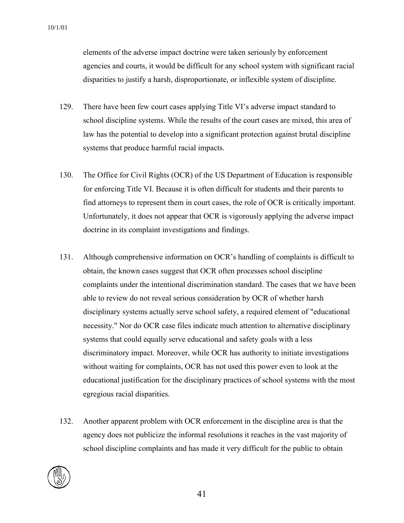elements of the adverse impact doctrine were taken seriously by enforcement agencies and courts, it would be difficult for any school system with significant racial disparities to justify a harsh, disproportionate, or inflexible system of discipline.

- 129. There have been few court cases applying Title VI's adverse impact standard to school discipline systems. While the results of the court cases are mixed, this area of law has the potential to develop into a significant protection against brutal discipline systems that produce harmful racial impacts.
- 130. The Office for Civil Rights (OCR) of the US Department of Education is responsible for enforcing Title VI. Because it is often difficult for students and their parents to find attorneys to represent them in court cases, the role of OCR is critically important. Unfortunately, it does not appear that OCR is vigorously applying the adverse impact doctrine in its complaint investigations and findings.
- 131. Although comprehensive information on OCR's handling of complaints is difficult to obtain, the known cases suggest that OCR often processes school discipline complaints under the intentional discrimination standard. The cases that we have been able to review do not reveal serious consideration by OCR of whether harsh disciplinary systems actually serve school safety, a required element of "educational necessity." Nor do OCR case files indicate much attention to alternative disciplinary systems that could equally serve educational and safety goals with a less discriminatory impact. Moreover, while OCR has authority to initiate investigations without waiting for complaints, OCR has not used this power even to look at the educational justification for the disciplinary practices of school systems with the most egregious racial disparities.
- 132. Another apparent problem with OCR enforcement in the discipline area is that the agency does not publicize the informal resolutions it reaches in the vast majority of school discipline complaints and has made it very difficult for the public to obtain

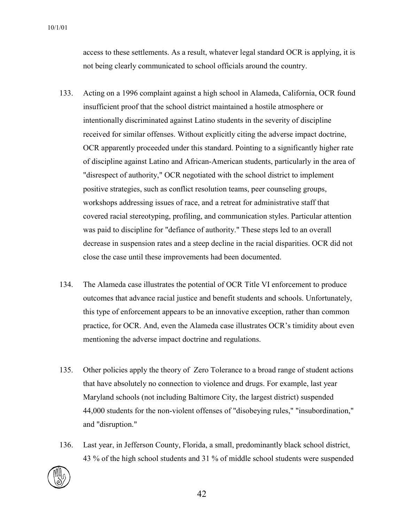access to these settlements. As a result, whatever legal standard OCR is applying, it is not being clearly communicated to school officials around the country.

- 133. Acting on a 1996 complaint against a high school in Alameda, California, OCR found insufficient proof that the school district maintained a hostile atmosphere or intentionally discriminated against Latino students in the severity of discipline received for similar offenses. Without explicitly citing the adverse impact doctrine, OCR apparently proceeded under this standard. Pointing to a significantly higher rate of discipline against Latino and African-American students, particularly in the area of "disrespect of authority," OCR negotiated with the school district to implement positive strategies, such as conflict resolution teams, peer counseling groups, workshops addressing issues of race, and a retreat for administrative staff that covered racial stereotyping, profiling, and communication styles. Particular attention was paid to discipline for "defiance of authority." These steps led to an overall decrease in suspension rates and a steep decline in the racial disparities. OCR did not close the case until these improvements had been documented.
- 134. The Alameda case illustrates the potential of OCR Title VI enforcement to produce outcomes that advance racial justice and benefit students and schools. Unfortunately, this type of enforcement appears to be an innovative exception, rather than common practice, for OCR. And, even the Alameda case illustrates OCR's timidity about even mentioning the adverse impact doctrine and regulations.
- 135. Other policies apply the theory of Zero Tolerance to a broad range of student actions that have absolutely no connection to violence and drugs. For example, last year Maryland schools (not including Baltimore City, the largest district) suspended 44,000 students for the non-violent offenses of "disobeying rules," "insubordination," and "disruption."
- 136. Last year, in Jefferson County, Florida, a small, predominantly black school district, 43 % of the high school students and 31 % of middle school students were suspended

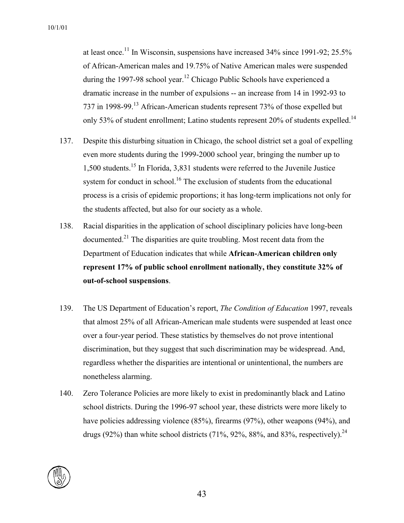at least once.<sup>11</sup> In Wisconsin, suspensions have increased  $34\%$  since 1991-92; 25.5% of African-American males and 19.75% of Native American males were suspended during the 1997-98 school year.<sup>12</sup> Chicago Public Schools have experienced a dramatic increase in the number of expulsions -- an increase from 14 in 1992-93 to 737 in 1998-99.<sup>13</sup> African-American students represent 73% of those expelled but only 53% of student enrollment; Latino students represent 20% of students expelled.<sup>14</sup>

- 137. Despite this disturbing situation in Chicago, the school district set a goal of expelling even more students during the 1999-2000 school year, bringing the number up to 1,500 students.15 In Florida, 3,831 students were referred to the Juvenile Justice system for conduct in school.<sup>16</sup> The exclusion of students from the educational process is a crisis of epidemic proportions; it has long-term implications not only for the students affected, but also for our society as a whole.
- 138. Racial disparities in the application of school disciplinary policies have long-been documented.<sup>21</sup> The disparities are quite troubling. Most recent data from the Department of Education indicates that while **African-American children only represent 17% of public school enrollment nationally, they constitute 32% of out-of-school suspensions**.
- 139. The US Department of Education's report, *The Condition of Education* 1997, reveals that almost 25% of all African-American male students were suspended at least once over a four-year period. These statistics by themselves do not prove intentional discrimination, but they suggest that such discrimination may be widespread. And, regardless whether the disparities are intentional or unintentional, the numbers are nonetheless alarming.
- 140. Zero Tolerance Policies are more likely to exist in predominantly black and Latino school districts. During the 1996-97 school year, these districts were more likely to have policies addressing violence (85%), firearms (97%), other weapons (94%), and drugs (92%) than white school districts (71%, 92%, 88%, and 83%, respectively).<sup>24</sup>

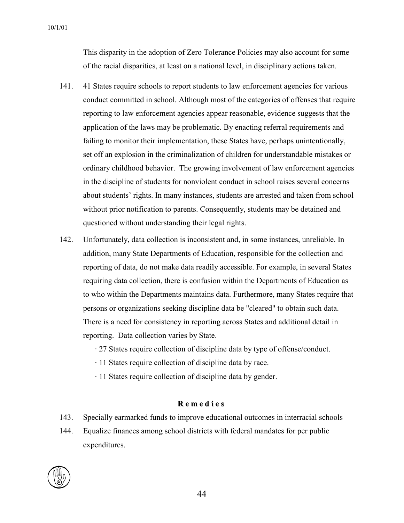This disparity in the adoption of Zero Tolerance Policies may also account for some of the racial disparities, at least on a national level, in disciplinary actions taken.

- 141. 41 States require schools to report students to law enforcement agencies for various conduct committed in school. Although most of the categories of offenses that require reporting to law enforcement agencies appear reasonable, evidence suggests that the application of the laws may be problematic. By enacting referral requirements and failing to monitor their implementation, these States have, perhaps unintentionally, set off an explosion in the criminalization of children for understandable mistakes or ordinary childhood behavior. The growing involvement of law enforcement agencies in the discipline of students for nonviolent conduct in school raises several concerns about students' rights. In many instances, students are arrested and taken from school without prior notification to parents. Consequently, students may be detained and questioned without understanding their legal rights.
- 142. Unfortunately, data collection is inconsistent and, in some instances, unreliable. In addition, many State Departments of Education, responsible for the collection and reporting of data, do not make data readily accessible. For example, in several States requiring data collection, there is confusion within the Departments of Education as to who within the Departments maintains data. Furthermore, many States require that persons or organizations seeking discipline data be "cleared" to obtain such data. There is a need for consistency in reporting across States and additional detail in reporting. Data collection varies by State.
	- · 27 States require collection of discipline data by type of offense/conduct.
	- · 11 States require collection of discipline data by race.
	- · 11 States require collection of discipline data by gender.

#### **R e m e d i e s**

- 143. Specially earmarked funds to improve educational outcomes in interracial schools
- 144. Equalize finances among school districts with federal mandates for per public expenditures.

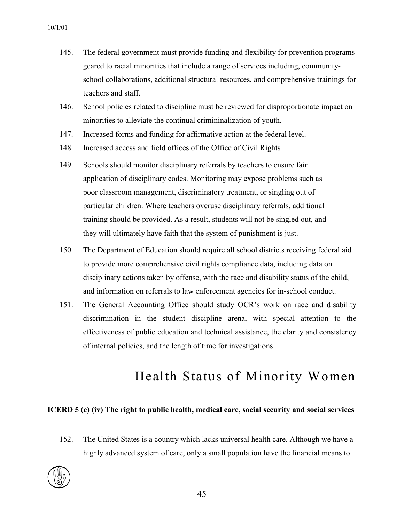- 145. The federal government must provide funding and flexibility for prevention programs geared to racial minorities that include a range of services including, communityschool collaborations, additional structural resources, and comprehensive trainings for teachers and staff.
- 146. School policies related to discipline must be reviewed for disproportionate impact on minorities to alleviate the continual crimininalization of youth.
- 147. Increased forms and funding for affirmative action at the federal level.
- 148. Increased access and field offices of the Office of Civil Rights
- 149. Schools should monitor disciplinary referrals by teachers to ensure fair application of disciplinary codes. Monitoring may expose problems such as poor classroom management, discriminatory treatment, or singling out of particular children. Where teachers overuse disciplinary referrals, additional training should be provided. As a result, students will not be singled out, and they will ultimately have faith that the system of punishment is just.
- 150. The Department of Education should require all school districts receiving federal aid to provide more comprehensive civil rights compliance data, including data on disciplinary actions taken by offense, with the race and disability status of the child, and information on referrals to law enforcement agencies for in-school conduct.
- 151. The General Accounting Office should study OCR's work on race and disability discrimination in the student discipline arena, with special attention to the effectiveness of public education and technical assistance, the clarity and consistency of internal policies, and the length of time for investigations.

### Health Status of Minority Women

#### **ICERD 5 (e) (iv) The right to public health, medical care, social security and social services**

152. The United States is a country which lacks universal health care. Although we have a highly advanced system of care, only a small population have the financial means to

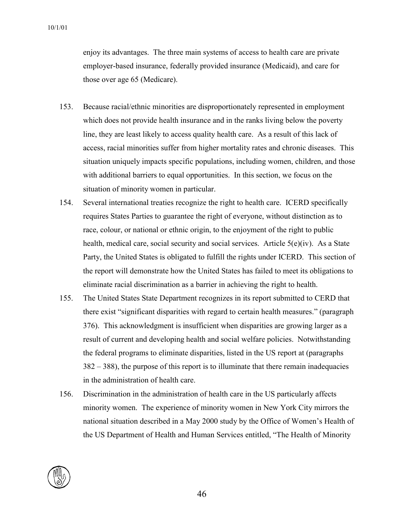enjoy its advantages. The three main systems of access to health care are private employer-based insurance, federally provided insurance (Medicaid), and care for those over age 65 (Medicare).

- 153. Because racial/ethnic minorities are disproportionately represented in employment which does not provide health insurance and in the ranks living below the poverty line, they are least likely to access quality health care. As a result of this lack of access, racial minorities suffer from higher mortality rates and chronic diseases. This situation uniquely impacts specific populations, including women, children, and those with additional barriers to equal opportunities. In this section, we focus on the situation of minority women in particular.
- 154. Several international treaties recognize the right to health care. ICERD specifically requires States Parties to guarantee the right of everyone, without distinction as to race, colour, or national or ethnic origin, to the enjoyment of the right to public health, medical care, social security and social services. Article 5(e)(iv). As a State Party, the United States is obligated to fulfill the rights under ICERD. This section of the report will demonstrate how the United States has failed to meet its obligations to eliminate racial discrimination as a barrier in achieving the right to health.
- 155. The United States State Department recognizes in its report submitted to CERD that there exist "significant disparities with regard to certain health measures." (paragraph 376). This acknowledgment is insufficient when disparities are growing larger as a result of current and developing health and social welfare policies. Notwithstanding the federal programs to eliminate disparities, listed in the US report at (paragraphs 382 – 388), the purpose of this report is to illuminate that there remain inadequacies in the administration of health care.
- 156. Discrimination in the administration of health care in the US particularly affects minority women. The experience of minority women in New York City mirrors the national situation described in a May 2000 study by the Office of Women's Health of the US Department of Health and Human Services entitled, "The Health of Minority

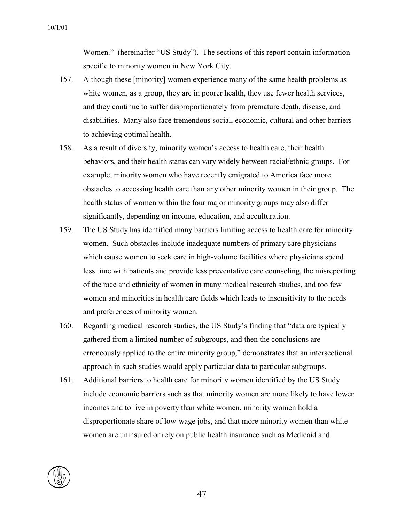Women." (hereinafter "US Study"). The sections of this report contain information specific to minority women in New York City.

- 157. Although these [minority] women experience many of the same health problems as white women, as a group, they are in poorer health, they use fewer health services, and they continue to suffer disproportionately from premature death, disease, and disabilities. Many also face tremendous social, economic, cultural and other barriers to achieving optimal health.
- 158. As a result of diversity, minority women's access to health care, their health behaviors, and their health status can vary widely between racial/ethnic groups. For example, minority women who have recently emigrated to America face more obstacles to accessing health care than any other minority women in their group. The health status of women within the four major minority groups may also differ significantly, depending on income, education, and acculturation.
- 159. The US Study has identified many barriers limiting access to health care for minority women. Such obstacles include inadequate numbers of primary care physicians which cause women to seek care in high-volume facilities where physicians spend less time with patients and provide less preventative care counseling, the misreporting of the race and ethnicity of women in many medical research studies, and too few women and minorities in health care fields which leads to insensitivity to the needs and preferences of minority women.
- 160. Regarding medical research studies, the US Study's finding that "data are typically gathered from a limited number of subgroups, and then the conclusions are erroneously applied to the entire minority group," demonstrates that an intersectional approach in such studies would apply particular data to particular subgroups.
- 161. Additional barriers to health care for minority women identified by the US Study include economic barriers such as that minority women are more likely to have lower incomes and to live in poverty than white women, minority women hold a disproportionate share of low-wage jobs, and that more minority women than white women are uninsured or rely on public health insurance such as Medicaid and

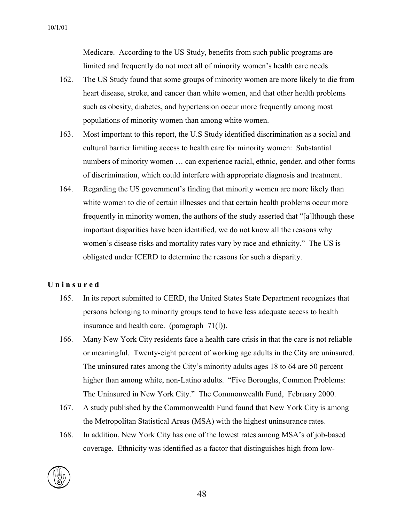Medicare. According to the US Study, benefits from such public programs are limited and frequently do not meet all of minority women's health care needs.

- 162. The US Study found that some groups of minority women are more likely to die from heart disease, stroke, and cancer than white women, and that other health problems such as obesity, diabetes, and hypertension occur more frequently among most populations of minority women than among white women.
- 163. Most important to this report, the U.S Study identified discrimination as a social and cultural barrier limiting access to health care for minority women: Substantial numbers of minority women … can experience racial, ethnic, gender, and other forms of discrimination, which could interfere with appropriate diagnosis and treatment.
- 164. Regarding the US government's finding that minority women are more likely than white women to die of certain illnesses and that certain health problems occur more frequently in minority women, the authors of the study asserted that "[a]lthough these important disparities have been identified, we do not know all the reasons why women's disease risks and mortality rates vary by race and ethnicity." The US is obligated under ICERD to determine the reasons for such a disparity.

#### **U n i n s u r e d**

- 165. In its report submitted to CERD, the United States State Department recognizes that persons belonging to minority groups tend to have less adequate access to health insurance and health care. (paragraph 71(l)).
- 166. Many New York City residents face a health care crisis in that the care is not reliable or meaningful. Twenty-eight percent of working age adults in the City are uninsured. The uninsured rates among the City's minority adults ages 18 to 64 are 50 percent higher than among white, non-Latino adults. "Five Boroughs, Common Problems: The Uninsured in New York City." The Commonwealth Fund, February 2000.
- 167. A study published by the Commonwealth Fund found that New York City is among the Metropolitan Statistical Areas (MSA) with the highest uninsurance rates.
- 168. In addition, New York City has one of the lowest rates among MSA's of job-based coverage. Ethnicity was identified as a factor that distinguishes high from low-

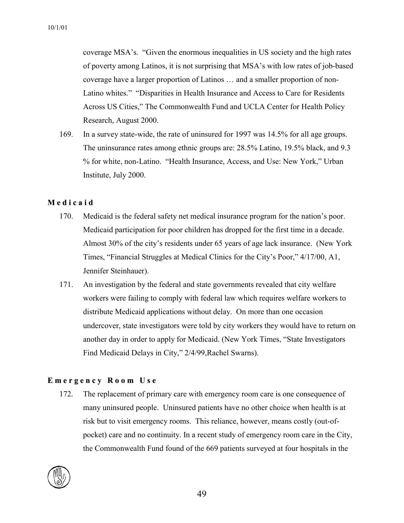coverage MSA's. "Given the enormous inequalities in US society and the high rates of poverty among Latinos, it is not surprising that MSA's with low rates of job-based coverage have a larger proportion of Latinos … and a smaller proportion of non-Latino whites." "Disparities in Health Insurance and Access to Care for Residents Across US Cities," The Commonwealth Fund and UCLA Center for Health Policy Research, August 2000.

169. In a survey state-wide, the rate of uninsured for 1997 was 14.5% for all age groups. The uninsurance rates among ethnic groups are: 28.5% Latino, 19.5% black, and 9.3 % for white, non-Latino. "Health Insurance, Access, and Use: New York," Urban Institute, July 2000.

#### **M e d i c a i d**

- 170. Medicaid is the federal safety net medical insurance program for the nation's poor. Medicaid participation for poor children has dropped for the first time in a decade. Almost 30% of the city's residents under 65 years of age lack insurance. (New York Times, "Financial Struggles at Medical Clinics for the City's Poor," 4/17/00, A1, Jennifer Steinhauer).
- 171. An investigation by the federal and state governments revealed that city welfare workers were failing to comply with federal law which requires welfare workers to distribute Medicaid applications without delay. On more than one occasion undercover, state investigators were told by city workers they would have to return on another day in order to apply for Medicaid. (New York Times, "State Investigators Find Medicaid Delays in City," 2/4/99,Rachel Swarns).

#### **E m e r g e n c y R o o m U s e**

172. The replacement of primary care with emergency room care is one consequence of many uninsured people. Uninsured patients have no other choice when health is at risk but to visit emergency rooms. This reliance, however, means costly (out-ofpocket) care and no continuity. In a recent study of emergency room care in the City, the Commonwealth Fund found of the 669 patients surveyed at four hospitals in the

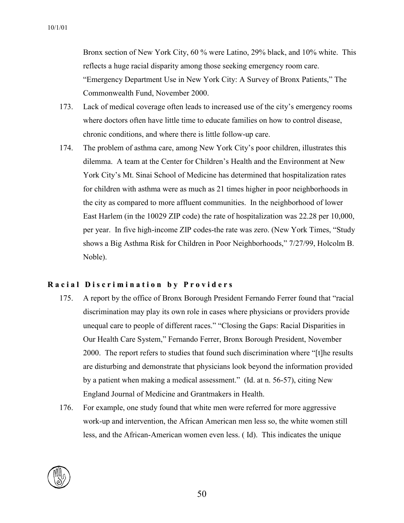Bronx section of New York City, 60 % were Latino, 29% black, and 10% white. This reflects a huge racial disparity among those seeking emergency room care. "Emergency Department Use in New York City: A Survey of Bronx Patients," The Commonwealth Fund, November 2000.

- 173. Lack of medical coverage often leads to increased use of the city's emergency rooms where doctors often have little time to educate families on how to control disease, chronic conditions, and where there is little follow-up care.
- 174. The problem of asthma care, among New York City's poor children, illustrates this dilemma. A team at the Center for Children's Health and the Environment at New York City's Mt. Sinai School of Medicine has determined that hospitalization rates for children with asthma were as much as 21 times higher in poor neighborhoods in the city as compared to more affluent communities. In the neighborhood of lower East Harlem (in the 10029 ZIP code) the rate of hospitalization was 22.28 per 10,000, per year. In five high-income ZIP codes-the rate was zero. (New York Times, "Study shows a Big Asthma Risk for Children in Poor Neighborhoods," 7/27/99, Holcolm B. Noble).

#### Racial Discrimination by Providers

- 175. A report by the office of Bronx Borough President Fernando Ferrer found that "racial discrimination may play its own role in cases where physicians or providers provide unequal care to people of different races." "Closing the Gaps: Racial Disparities in Our Health Care System," Fernando Ferrer, Bronx Borough President, November 2000. The report refers to studies that found such discrimination where "[t]he results are disturbing and demonstrate that physicians look beyond the information provided by a patient when making a medical assessment." (Id. at n. 56-57), citing New England Journal of Medicine and Grantmakers in Health.
- 176. For example, one study found that white men were referred for more aggressive work-up and intervention, the African American men less so, the white women still less, and the African-American women even less. ( Id). This indicates the unique

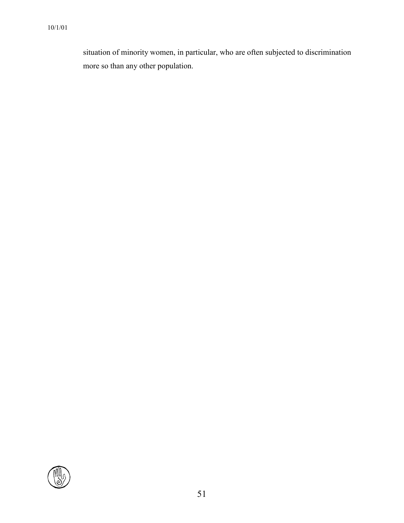situation of minority women, in particular, who are often subjected to discrimination more so than any other population.

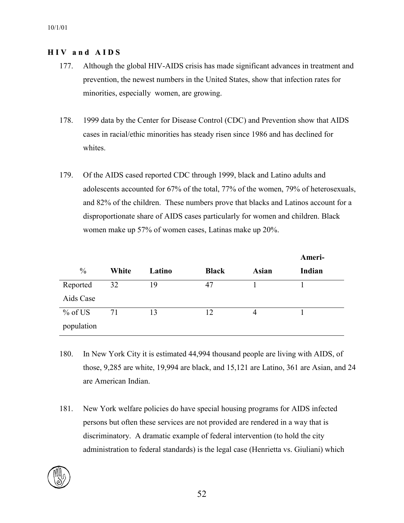#### **H I V a n d A I D S**

- 177. Although the global HIV-AIDS crisis has made significant advances in treatment and prevention, the newest numbers in the United States, show that infection rates for minorities, especially women, are growing.
- 178. 1999 data by the Center for Disease Control (CDC) and Prevention show that AIDS cases in racial/ethic minorities has steady risen since 1986 and has declined for whites.
- 179. Of the AIDS cased reported CDC through 1999, black and Latino adults and adolescents accounted for 67% of the total, 77% of the women, 79% of heterosexuals, and 82% of the children. These numbers prove that blacks and Latinos account for a disproportionate share of AIDS cases particularly for women and children. Black women make up 57% of women cases, Latinas make up 20%.

|               |       |        |              |              | Ameri- |
|---------------|-------|--------|--------------|--------------|--------|
| $\frac{0}{0}$ | White | Latino | <b>Black</b> | <b>Asian</b> | Indian |
| Reported      | 32    | 19     | 47           |              |        |
| Aids Case     |       |        |              |              |        |
| $%$ of US     | 71    | 13     | 12           | 4            |        |
| population    |       |        |              |              |        |

- 180. In New York City it is estimated 44,994 thousand people are living with AIDS, of those, 9,285 are white, 19,994 are black, and 15,121 are Latino, 361 are Asian, and 24 are American Indian.
- 181. New York welfare policies do have special housing programs for AIDS infected persons but often these services are not provided are rendered in a way that is discriminatory. A dramatic example of federal intervention (to hold the city administration to federal standards) is the legal case (Henrietta vs. Giuliani) which

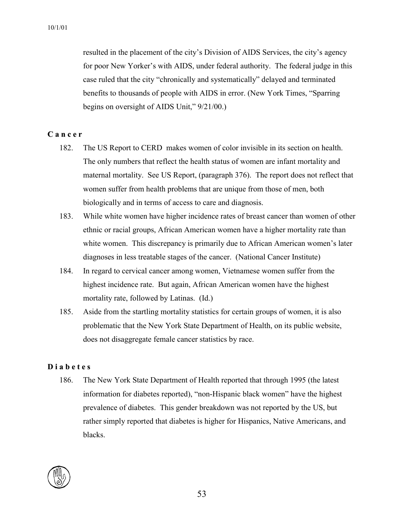resulted in the placement of the city's Division of AIDS Services, the city's agency for poor New Yorker's with AIDS, under federal authority. The federal judge in this case ruled that the city "chronically and systematically" delayed and terminated benefits to thousands of people with AIDS in error. (New York Times, "Sparring begins on oversight of AIDS Unit," 9/21/00.)

#### **C a n c e r**

- 182. The US Report to CERD makes women of color invisible in its section on health. The only numbers that reflect the health status of women are infant mortality and maternal mortality. See US Report, (paragraph 376). The report does not reflect that women suffer from health problems that are unique from those of men, both biologically and in terms of access to care and diagnosis.
- 183. While white women have higher incidence rates of breast cancer than women of other ethnic or racial groups, African American women have a higher mortality rate than white women. This discrepancy is primarily due to African American women's later diagnoses in less treatable stages of the cancer. (National Cancer Institute)
- 184. In regard to cervical cancer among women, Vietnamese women suffer from the highest incidence rate. But again, African American women have the highest mortality rate, followed by Latinas. (Id.)
- 185. Aside from the startling mortality statistics for certain groups of women, it is also problematic that the New York State Department of Health, on its public website, does not disaggregate female cancer statistics by race.

#### **D i a b e t e s**

186. The New York State Department of Health reported that through 1995 (the latest information for diabetes reported), "non-Hispanic black women" have the highest prevalence of diabetes. This gender breakdown was not reported by the US, but rather simply reported that diabetes is higher for Hispanics, Native Americans, and blacks.

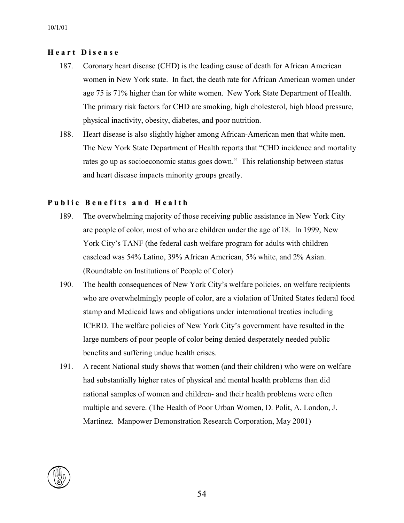#### **H e a r t D i s e a s e**

- 187. Coronary heart disease (CHD) is the leading cause of death for African American women in New York state. In fact, the death rate for African American women under age 75 is 71% higher than for white women. New York State Department of Health. The primary risk factors for CHD are smoking, high cholesterol, high blood pressure, physical inactivity, obesity, diabetes, and poor nutrition.
- 188. Heart disease is also slightly higher among African-American men that white men. The New York State Department of Health reports that "CHD incidence and mortality rates go up as socioeconomic status goes down." This relationship between status and heart disease impacts minority groups greatly.

#### **P u b l i c B e n e f i t s a n d H e a l t h**

- 189. The overwhelming majority of those receiving public assistance in New York City are people of color, most of who are children under the age of 18. In 1999, New York City's TANF (the federal cash welfare program for adults with children caseload was 54% Latino, 39% African American, 5% white, and 2% Asian. (Roundtable on Institutions of People of Color)
- 190. The health consequences of New York City's welfare policies, on welfare recipients who are overwhelmingly people of color, are a violation of United States federal food stamp and Medicaid laws and obligations under international treaties including ICERD. The welfare policies of New York City's government have resulted in the large numbers of poor people of color being denied desperately needed public benefits and suffering undue health crises.
- 191. A recent National study shows that women (and their children) who were on welfare had substantially higher rates of physical and mental health problems than did national samples of women and children- and their health problems were often multiple and severe. (The Health of Poor Urban Women, D. Polit, A. London, J. Martinez. Manpower Demonstration Research Corporation, May 2001)

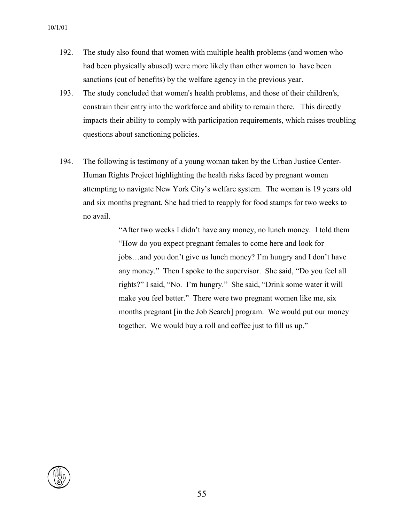- 192. The study also found that women with multiple health problems (and women who had been physically abused) were more likely than other women to have been sanctions (cut of benefits) by the welfare agency in the previous year.
- 193. The study concluded that women's health problems, and those of their children's, constrain their entry into the workforce and ability to remain there. This directly impacts their ability to comply with participation requirements, which raises troubling questions about sanctioning policies.
- 194. The following is testimony of a young woman taken by the Urban Justice Center-Human Rights Project highlighting the health risks faced by pregnant women attempting to navigate New York City's welfare system. The woman is 19 years old and six months pregnant. She had tried to reapply for food stamps for two weeks to no avail.

"After two weeks I didn't have any money, no lunch money. I told them "How do you expect pregnant females to come here and look for jobs…and you don't give us lunch money? I'm hungry and I don't have any money." Then I spoke to the supervisor. She said, "Do you feel all rights?" I said, "No. I'm hungry." She said, "Drink some water it will make you feel better." There were two pregnant women like me, six months pregnant [in the Job Search] program. We would put our money together. We would buy a roll and coffee just to fill us up."

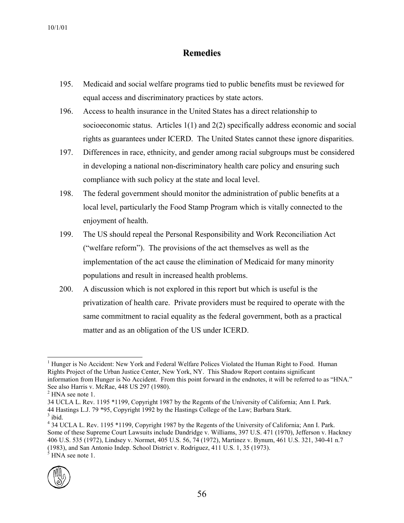### **Remedies**

- 195. Medicaid and social welfare programs tied to public benefits must be reviewed for equal access and discriminatory practices by state actors.
- 196. Access to health insurance in the United States has a direct relationship to socioeconomic status. Articles 1(1) and 2(2) specifically address economic and social rights as guarantees under ICERD. The United States cannot these ignore disparities.
- 197. Differences in race, ethnicity, and gender among racial subgroups must be considered in developing a national non-discriminatory health care policy and ensuring such compliance with such policy at the state and local level.
- 198. The federal government should monitor the administration of public benefits at a local level, particularly the Food Stamp Program which is vitally connected to the enjoyment of health.
- 199. The US should repeal the Personal Responsibility and Work Reconciliation Act ("welfare reform"). The provisions of the act themselves as well as the implementation of the act cause the elimination of Medicaid for many minority populations and result in increased health problems.
- 200. A discussion which is not explored in this report but which is useful is the privatization of health care. Private providers must be required to operate with the same commitment to racial equality as the federal government, both as a practical matter and as an obligation of the US under ICERD.

 <sup>34</sup> UCLA L. Rev. 1195 \*1199, Copyright 1987 by the Regents of the University of California; Ann I. Park. Some of these Supreme Court Lawsuits include Dandridge v. Williams, 397 U.S. 471 (1970), Jefferson v. Hackney 406 U.S. 535 (1972), Lindsey v. Normet, 405 U.S. 56, 74 (1972), Martinez v. Bynum, 461 U.S. 321, 340-41 n.7  $(1983)$ , and San Antonio Indep. School District v. Rodriguez, 411 U.S. 1, 35 (1973).  $<sup>5</sup>$  HNA see note 1.</sup>



l <sup>1</sup> Hunger is No Accident: New York and Federal Welfare Polices Violated the Human Right to Food. Human Rights Project of the Urban Justice Center, New York, NY. This Shadow Report contains significant information from Hunger is No Accident. From this point forward in the endnotes, it will be referred to as "HNA." See also Harris v. McRae, 448 US 297 (1980).<br><sup>2</sup> HNA see note 1.

<sup>34</sup> UCLA L. Rev. 1195 \*1199, Copyright 1987 by the Regents of the University of California; Ann I. Park. 44 Hastings L.J. 79 \*95, Copyright 1992 by the Hastings College of the Law; Barbara Stark. <sup>3</sup>

 $3$  ibid.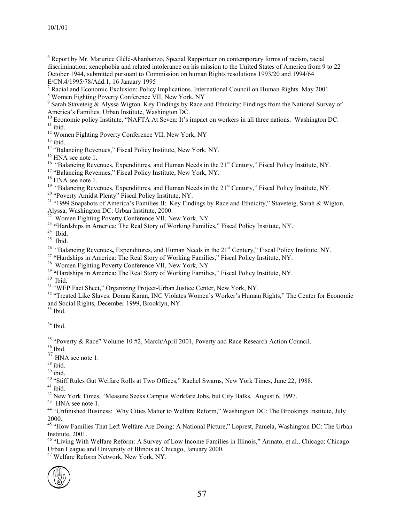- 6 <sup>6</sup> Report by Mr. Marurice Glélé-Ahanhanzo, Special Rapportuer on contemporary forms of racism, racial discrimination, xenophobia and related intolerance on his mission to the United States of America from 9 to 22 October 1944, submitted pursuant to Commission on human Rights resolutions 1993/20 and 1994/64 E/CN.4/1995/78/Add.1, 16 January 1995
- <sup>7</sup> Racial and Economic Exclusion: Policy Implications. International Council on Human Rights. May 2001
- Women Fighting Poverty Conference VII, New York, NY <sup>9</sup>

- America's Families. Urban Institute, Washington DC.<br>
<sup>10</sup> Economic policy Institute, "NAFTA At Seven: It's impact on workers in all three nations. Washington DC.<br>
<sup>11</sup> bid.<br>
<sup>12</sup> Women Fighting Poverty Conference VII, New
- 

- 
- 

Alyssa, Washington DC: Urban Institute, 2000.<br><sup>22</sup> Women Fighting Poverty Conference VII, New York, NY<br><sup>23</sup> "Hardships in America: The Real Story of Working [Families," Fiscal Policy Institute, NY.](http://www.epinet.org/)<br><sup>24</sup> Ibid.<br><sup>25</sup> "Balancin

<sup>31</sup> "WEP Fact Sheet," Organizing Project-Urban Justice Center, New York, NY.<br><sup>32</sup> "Treated Like Slaves: Donna Karan, INC Violates Women's Worker's Human Rights," The Center for Economic and Social Rights, December 1999, Brooklyn, NY.

 $34$  Ibid.

<sup>35</sup> "Poverty & Race" Volume 10 #2, March/April 2001, Poverty and Race Research Action Council.<br><sup>36</sup> Ibid.

 $\frac{37}{18}$  HNA see note 1.

<sup>39</sup> ibid.<br><sup>40</sup> "Stiff Rules Gut Welfare Rolls at Two Offices," Rachel Swarns, New York Times, June 22, 1988.<br><sup>41</sup> ibid.<br><sup>42</sup> New York Times, "Measure Seeks Campus Workfare Jobs, but City Balks. August 6, 1997.<br><sup>43</sup> HNA se

2000.

<sup>45</sup> "How Families That Left Welfare Are Doing: A National Picture," Loprest, Pamela, Washington DC: The Urban Institute, 2001.<br><sup>46</sup> "Living With Welfare Reform: A Survey of Low Income Families in Illinois," Armato, et al., Chicago: Chicago

Urban League and University of Illinois at Chicago, January 2000. 47 Welfare Reform Network, New York, NY.



 $9$  Sarah Staveteig & Alyssa Wigton. Key Findings by Race and Ethnicity: Findings from the National Survey of America's Families. Urban Institute, Washington DC.